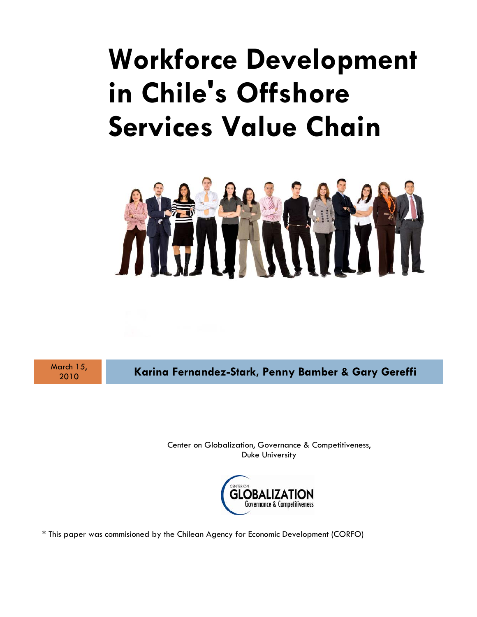# **Workforce Development in Chile's Offshore Services Value Chain**



March 15,

<sup>2010</sup>**Karina Fernandez-Stark, Penny Bamber & Gary Gereffi**

Center on Globalization, Governance & Competitiveness, Duke University



\* This paper was commisioned by the Chilean Agency for Economic Development (CORFO)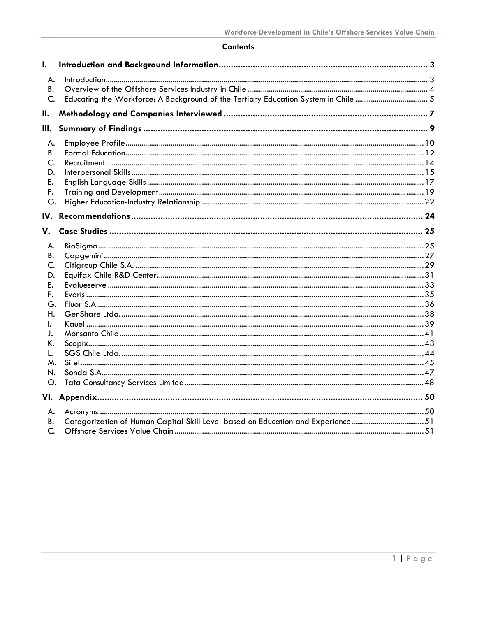## **Contents**

| I.   |                                                                                    |  |
|------|------------------------------------------------------------------------------------|--|
| А.   |                                                                                    |  |
| В.   |                                                                                    |  |
| C.   | Educating the Workforce: A Background of the Tertiary Education System in Chile  5 |  |
| Ш.   |                                                                                    |  |
| III. |                                                                                    |  |
| А.   |                                                                                    |  |
| В.   |                                                                                    |  |
| C.   |                                                                                    |  |
| D.   |                                                                                    |  |
| Ε.   |                                                                                    |  |
| F.   |                                                                                    |  |
| G.   |                                                                                    |  |
| IV.  |                                                                                    |  |
| V.   |                                                                                    |  |
| А.   |                                                                                    |  |
| В.   |                                                                                    |  |
| C.   |                                                                                    |  |
| D.   |                                                                                    |  |
| E.   |                                                                                    |  |
| F.   |                                                                                    |  |
| G.   |                                                                                    |  |
| Η.   |                                                                                    |  |
| I.   |                                                                                    |  |
| J.   |                                                                                    |  |
| K.   |                                                                                    |  |
| L.   |                                                                                    |  |
| м.   |                                                                                    |  |
| N.   |                                                                                    |  |
| Ο.   |                                                                                    |  |
|      |                                                                                    |  |
| А.   |                                                                                    |  |
| В.   |                                                                                    |  |
| C.   |                                                                                    |  |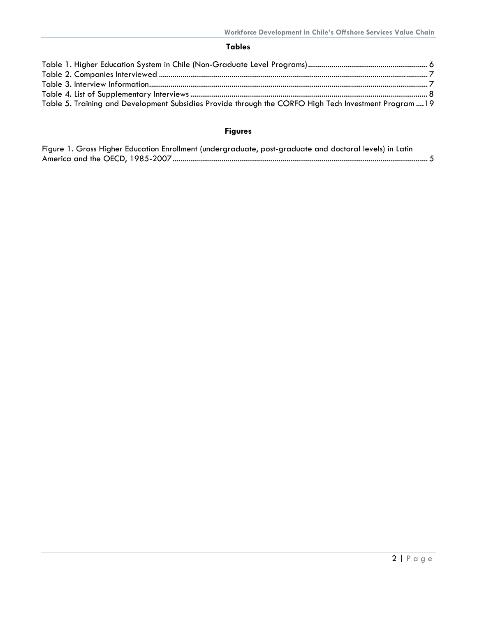## **Tables**

| Table 5. Training and Development Subsidies Provide through the CORFO High Tech Investment Program19 |  |
|------------------------------------------------------------------------------------------------------|--|

# **Figures**

| Figure 1. Gross Higher Education Enrollment (undergraduate, post-graduate and doctoral levels) in Latin |  |
|---------------------------------------------------------------------------------------------------------|--|
|                                                                                                         |  |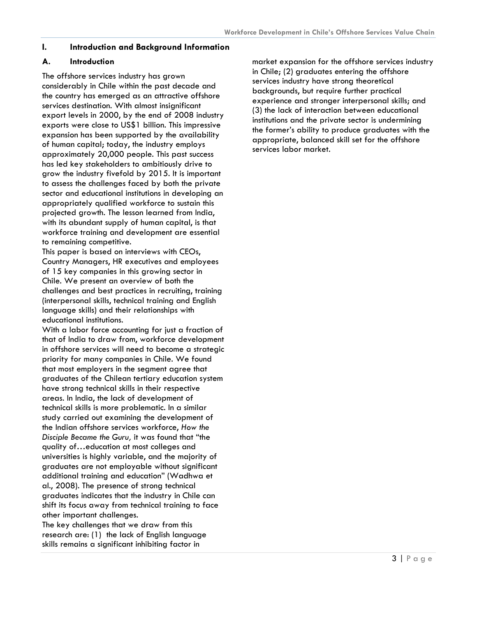## <span id="page-3-0"></span>**I. Introduction and Background Information**

#### **A. Introduction**

The offshore services industry has grown considerably in Chile within the past decade and the country has emerged as an attractive offshore services destination. With almost insignificant export levels in 2000, by the end of 2008 industry exports were close to US\$1 billion. This impressive expansion has been supported by the availability of human capital; today, the industry employs approximately 20,000 people. This past success has led key stakeholders to ambitiously drive to grow the industry fivefold by 2015. It is important to assess the challenges faced by both the private sector and educational institutions in developing an appropriately qualified workforce to sustain this projected growth. The lesson learned from India, with its abundant supply of human capital, is that workforce training and development are essential to remaining competitive.

This paper is based on interviews with CEOs, Country Managers, HR executives and employees of 15 key companies in this growing sector in Chile. We present an overview of both the challenges and best practices in recruiting, training (interpersonal skills, technical training and English language skills) and their relationships with educational institutions.

With a labor force accounting for just a fraction of that of India to draw from, workforce development in offshore services will need to become a strategic priority for many companies in Chile. We found that most employers in the segment agree that graduates of the Chilean tertiary education system have strong technical skills in their respective areas. In India, the lack of development of technical skills is more problematic. In a similar study carried out examining the development of the Indian offshore services workforce, *How the Disciple Became the Guru,* it was found that "the quality of…education at most colleges and universities is highly variable, and the majority of graduates are not employable without significant additional training and education" (Wadhwa et al., 2008). The presence of strong technical graduates indicates that the industry in Chile can shift its focus away from technical training to face other important challenges.

The key challenges that we draw from this research are: (1) the lack of English language skills remains a significant inhibiting factor in

market expansion for the offshore services industry in Chile; (2) graduates entering the offshore services industry have strong theoretical backgrounds, but require further practical experience and stronger interpersonal skills; and (3) the lack of interaction between educational institutions and the private sector is undermining the former's ability to produce graduates with the appropriate, balanced skill set for the offshore services labor market.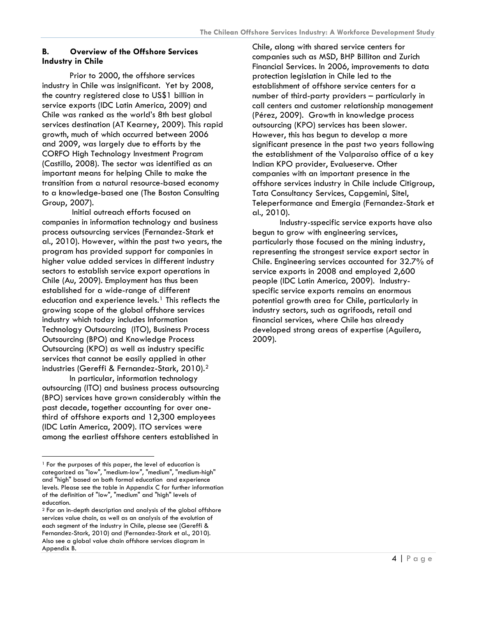## <span id="page-4-0"></span>**B. Overview of the Offshore Services Industry in Chile**

Prior to 2000, the offshore services industry in Chile was insignificant. Yet by 2008, the country registered close to US\$1 billion in service exports (IDC Latin America, 2009) and Chile was ranked as the world's 8th best global services destination (AT Kearney, 2009). This rapid growth, much of which occurred between 2006 and 2009, was largely due to efforts by the CORFO High Technology Investment Program (Castillo, 2008). The sector was identified as an important means for helping Chile to make the transition from a natural resource-based economy to a knowledge-based one (The Boston Consulting Group, 2007).

 Initial outreach efforts focused on companies in information technology and business process outsourcing services (Fernandez-Stark et al., 2010). However, within the past two years, the program has provided support for companies in higher value added services in different industry sectors to establish service export operations in Chile (Au, 2009). Employment has thus been established for a wide-range of different education and experience levels.<sup>[1](#page-4-1)</sup> This reflects the growing scope of the global offshore services industry which today includes Information Technology Outsourcing (ITO), Business Process Outsourcing (BPO) and Knowledge Process Outsourcing (KPO) as well as industry specific services that cannot be easily applied in other industries (Gereffi & Fernandez-Stark, 2010).[2](#page-4-2)

In particular, information technology outsourcing (ITO) and business process outsourcing (BPO) services have grown considerably within the past decade, together accounting for over onethird of offshore exports and 12,300 employees (IDC Latin America, 2009). ITO services were among the earliest offshore centers established in

-

Chile, along with shared service centers for companies such as MSD, BHP Billiton and Zurich Financial Services. In 2006, improvements to data protection legislation in Chile led to the establishment of offshore service centers for a number of third-party providers – particularly in call centers and customer relationship management (Pérez, 2009). Growth in knowledge process outsourcing (KPO) services has been slower. However, this has begun to develop a more significant presence in the past two years following the establishment of the Valparaiso office of a key Indian KPO provider, Evalueserve. Other companies with an important presence in the offshore services industry in Chile include Citigroup, Tata Consultancy Services, Capgemini, Sitel, Teleperformance and Emergia (Fernandez-Stark et al., 2010).

Industry-sspecific service exports have also begun to grow with engineering services, particularly those focused on the mining industry, representing the strongest service export sector in Chile. Engineering services accounted for 32.7% of service exports in 2008 and employed 2,600 people (IDC Latin America, 2009). Industryspecific service exports remains an enormous potential growth area for Chile, particularly in industry sectors, such as agrifoods, retail and financial services, where Chile has already developed strong areas of expertise (Aguilera, 2009).

<span id="page-4-1"></span><sup>&</sup>lt;sup>1</sup> For the purposes of this paper, the level of education is categorized as "low", "medium-low", "medium", "medium-high" and "high" based on both formal education and experience levels. Please see the table in Appendix C for further information of the definition of "low", "medium" and "high" levels of education.

<span id="page-4-2"></span><sup>2</sup> For an in-depth description and analysis of the global offshore services value chain, as well as an analysis of the evolution of each segment of the industry in Chile, please see (Gereffi & Fernandez-Stark, 2010) and (Fernandez-Stark et al., 2010). Also see a global value chain offshore services diagram in Appendix B.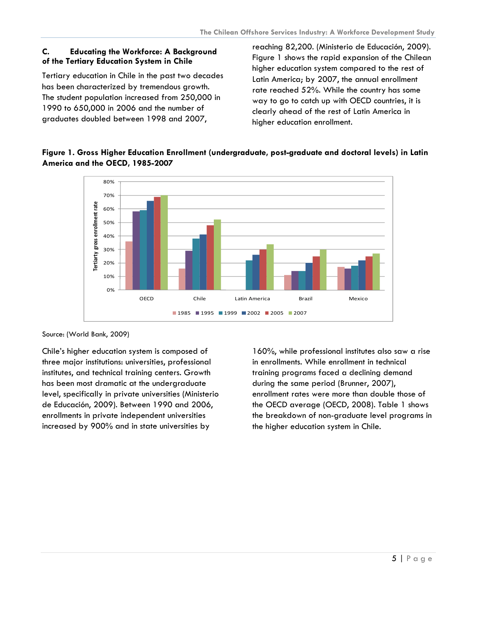## <span id="page-5-0"></span>**C. Educating the Workforce: A Background of the Tertiary Education System in Chile**

Tertiary education in Chile in the past two decades has been characterized by tremendous growth. The student population increased from 250,000 in 1990 to 650,000 in 2006 and the number of graduates doubled between 1998 and 2007,

reaching 82,200. (Ministerio de Educación, 2009). Figure 1 shows the rapid expansion of the Chilean higher education system compared to the rest of Latin America; by 2007, the annual enrollment rate reached 52%. While the country has some way to go to catch up with OECD countries, it is clearly ahead of the rest of Latin America in higher education enrollment.





Source: (World Bank, 2009)

Chile's higher education system is composed of three major institutions: universities, professional institutes, and technical training centers. Growth has been most dramatic at the undergraduate level, specifically in private universities (Ministerio de Educación, 2009). Between 1990 and 2006, enrollments in private independent universities increased by 900% and in state universities by

160%, while professional institutes also saw a rise in enrollments. While enrollment in technical training programs faced a declining demand during the same period (Brunner, 2007), enrollment rates were more than double those of the OECD average (OECD, 2008). Table 1 shows the breakdown of non-graduate level programs in the higher education system in Chile.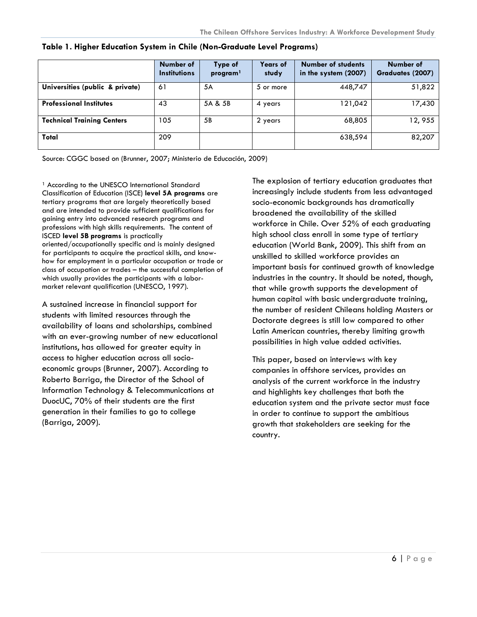|                                   | Number of<br><b>Institutions</b> | Type of<br>program <sup>1</sup> | <b>Years of</b><br>study | <b>Number of students</b><br>in the system (2007) | Number of<br>Graduates (2007) |
|-----------------------------------|----------------------------------|---------------------------------|--------------------------|---------------------------------------------------|-------------------------------|
| Universities (public & private)   | 61                               | 5A                              | 5 or more                | 448,747                                           | 51,822                        |
| <b>Professional Institutes</b>    | 43                               | 5A & 5B                         | 4 years                  | 121,042                                           | 17,430                        |
| <b>Technical Training Centers</b> | 105                              | 5B                              | 2 years                  | 68,805                                            | 12,955                        |
| Total                             | 209                              |                                 |                          | 638,594                                           | 82,207                        |

<span id="page-6-0"></span>**Table 1. Higher Education System in Chile (Non-Graduate Level Programs)**

Source: CGGC based on (Brunner, 2007; Ministerio de Educación, 2009)

<sup>1</sup> According to the UNESCO International Standard Classification of Education (ISCE) **level 5A programs** are tertiary programs that are largely theoretically based and are intended to provide sufficient qualifications for gaining entry into advanced research programs and professions with high skills requirements. The content of ISCED **level 5B programs** is practically oriented/occupationally specific and is mainly designed for participants to acquire the practical skills, and knowhow for employment in a particular occupation or trade or class of occupation or trades – the successful completion of which usually provides the participants with a labormarket relevant qualification (UNESCO, 1997).

A sustained increase in financial support for students with limited resources through the availability of loans and scholarships, combined with an ever-growing number of new educational institutions, has allowed for greater equity in access to higher education across all socioeconomic groups (Brunner, 2007). According to Roberto Barriga, the Director of the School of Information Technology & Telecommunications at DuocUC, 70% of their students are the first generation in their families to go to college (Barriga, 2009).

The explosion of tertiary education graduates that increasingly include students from less advantaged socio-economic backgrounds has dramatically broadened the availability of the skilled workforce in Chile. Over 52% of each graduating high school class enroll in some type of tertiary education (World Bank, 2009). This shift from an unskilled to skilled workforce provides an important basis for continued growth of knowledge industries in the country. It should be noted, though, that while growth supports the development of human capital with basic undergraduate training, the number of resident Chileans holding Masters or Doctorate degrees is still low compared to other Latin American countries, thereby limiting growth possibilities in high value added activities.

This paper, based on interviews with key companies in offshore services, provides an analysis of the current workforce in the industry and highlights key challenges that both the education system and the private sector must face in order to continue to support the ambitious growth that stakeholders are seeking for the country.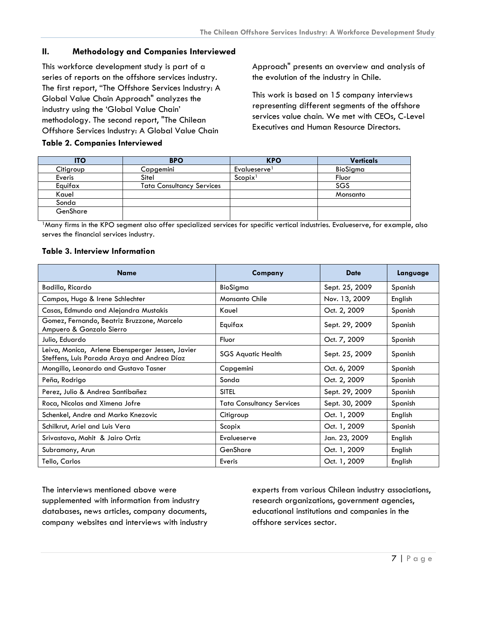## <span id="page-7-0"></span>**II. Methodology and Companies Interviewed**

This workforce development study is part of a series of reports on the offshore services industry. The first report, "The Offshore Services Industry: A Global Value Chain Approach" analyzes the industry using the 'Global Value Chain' methodology. The second report, "The Chilean Offshore Services Industry: A Global Value Chain

**Table 2. Companies Interviewed** 

Approach" presents an overview and analysis of the evolution of the industry in Chile.

This work is based on 15 company interviews representing different segments of the offshore services value chain. We met with CEOs, C-Level Executives and Human Resource Directors.

| <b>ITO</b> | <b>BPO</b>                       | <b>KPO</b>               | <b>Verticals</b> |
|------------|----------------------------------|--------------------------|------------------|
| Citigroup  | Capgemini                        | Evalueserve <sup>1</sup> | BioSigma         |
| Everis     | Sitel                            | Scopix <sup>1</sup>      | Fluor            |
| Equifax    | <b>Tata Consultancy Services</b> |                          | SGS              |
| Kauel      |                                  |                          | Monsanto         |
| Sonda      |                                  |                          |                  |
| GenShare   |                                  |                          |                  |

<sup>1</sup>Many firms in the KPO segment also offer specialized services for specific vertical industries. Evalueserve, for example, also serves the financial services industry.

#### **Table 3. Interview Information**

| <b>Name</b>                                                                                     | Company                          | <b>Date</b>    | Language |
|-------------------------------------------------------------------------------------------------|----------------------------------|----------------|----------|
| Badilla, Ricardo                                                                                | BioSigma                         | Sept. 25, 2009 | Spanish  |
| Campos, Hugo & Irene Schlechter                                                                 | <b>Monsanto Chile</b>            | Nov. 13, 2009  | English  |
| Casas, Edmundo and Alejandra Mustakis                                                           | Kauel                            | Oct. 2, 2009   | Spanish  |
| Gomez, Fernando, Beatriz Bruzzone, Marcelo<br>Ampuero & Gonzalo Sierro                          | Equifax                          | Sept. 29, 2009 | Spanish  |
| Julio, Eduardo                                                                                  | Fluor                            | Oct. 7, 2009   | Spanish  |
| Leiva, Monica, Arlene Ebensperger Jessen, Javier<br>Steffens, Luis Parada Araya and Andrea Díaz | <b>SGS Aquatic Health</b>        | Sept. 25, 2009 | Spanish  |
| Mongillo, Leonardo and Gustavo Tasner                                                           | Capgemini                        | Oct. 6, 2009   | Spanish  |
| Peña, Rodrigo                                                                                   | Sonda                            | Oct. 2, 2009   | Spanish  |
| Perez, Julio & Andrea Santibañez                                                                | <b>SITEL</b>                     | Sept. 29, 2009 | Spanish  |
| Roca, Nicolas and Ximena Jofre                                                                  | <b>Tata Consultancy Services</b> | Sept. 30, 2009 | Spanish  |
| Schenkel, Andre and Marko Knezovic                                                              | Citigroup                        | Oct. 1, 2009   | English  |
| Schilkrut, Ariel and Luis Vera                                                                  | Scopix                           | Oct. 1, 2009   | Spanish  |
| Srivastava, Mohit & Jairo Ortiz                                                                 | Evalueserve                      | Jan. 23, 2009  | English  |
| Subramony, Arun                                                                                 | GenShare                         | Oct. 1, 2009   | English  |
| Tello, Carlos                                                                                   | Everis                           | Oct. 1, 2009   | English  |

The interviews mentioned above were supplemented with information from industry databases, news articles, company documents, company websites and interviews with industry

experts from various Chilean industry associations, research organizations, government agencies, educational institutions and companies in the offshore services sector.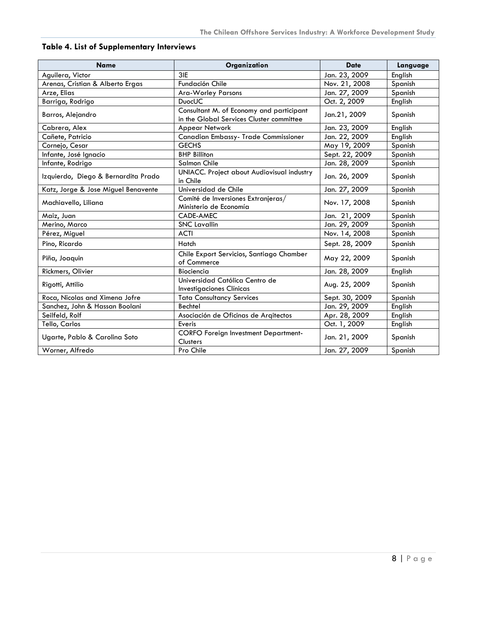| <b>Name</b>                         | Organization                                                                         | <b>Date</b>    | Language |
|-------------------------------------|--------------------------------------------------------------------------------------|----------------|----------|
| Aguilera, Victor                    | 3IE                                                                                  | Jan. 23, 2009  | English  |
| Arenas, Cristian & Alberto Ergas    | Fundación Chile                                                                      | Nov. 21, 2008  | Spanish  |
| Arze, Elias                         | <b>Ara-Worley Parsons</b>                                                            | Jan. 27, 2009  | Spanish  |
| Barriga, Rodrigo                    | <b>DuocUC</b>                                                                        | Oct. 2, 2009   | English  |
| Barros, Alejandro                   | Consultant M. of Economy and participant<br>in the Global Services Cluster committee | Jan.21, 2009   | Spanish  |
| Cabrera, Alex                       | Appear Network                                                                       | Jan. 23, 2009  | English  |
| Cañete, Patricio                    | Canadian Embassy- Trade Commissioner                                                 | Jan. 22, 2009  | English  |
| Cornejo, Cesar                      | <b>GECHS</b>                                                                         | May 19, 2009   | Spanish  |
| Infante, José Ignacio               | <b>BHP Billiton</b>                                                                  | Sept. 22, 2009 | Spanish  |
| Infante, Rodrigo                    | Salmon Chile                                                                         | Jan. 28, 2009  | Spanish  |
| Izquierdo, Diego & Bernardita Prado | UNIACC. Project about Audiovisual industry<br>in Chile                               | Jan. 26, 2009  | Spanish  |
| Katz, Jorge & Jose Miguel Benavente | Universidad de Chile                                                                 | Jan. 27, 2009  | Spanish  |
| Machiavello, Liliana                | Comité de Inversiones Extranjeras/<br>Ministerio de Economía                         | Nov. 17, 2008  | Spanish  |
| Maiz, Juan                          | CADE-AMEC                                                                            | Jan. 21, 2009  | Spanish  |
| Merino, Marco                       | <b>SNC Lavallin</b>                                                                  | Jan. 29, 2009  | Spanish  |
| Pérez, Miguel                       | <b>ACTI</b>                                                                          | Nov. 14, 2008  | Spanish  |
| Pino, Ricardo                       | Hatch                                                                                | Sept. 28, 2009 | Spanish  |
| Piña, Joaquin                       | Chile Export Servicios, Santiago Chamber<br>of Commerce                              | May 22, 2009   | Spanish  |
| Rickmers, Olivier                   | Biociencia                                                                           | Jan. 28, 2009  | English  |
| Rigotti, Attilio                    | Universidad Católica Centro de<br>Investigaciones Clínicas                           | Aug. 25, 2009  | Spanish  |
| Roca, Nicolas and Ximena Jofre      | <b>Tata Consultancy Services</b>                                                     | Sept. 30, 2009 | Spanish  |
| Sanchez, John & Hassan Boolani      | <b>Bechtel</b>                                                                       | Jan. 29, 2009  | English  |
| Seilfeld, Rolf                      | Asociación de Oficinas de Arqitectos                                                 | Apr. 28, 2009  | English  |
| Tello, Carlos                       | Everis                                                                               | Oct. 1, 2009   | English  |
| Ugarte, Pablo & Carolina Soto       | <b>CORFO Foreign Investment Department-</b><br>Clusters                              | Jan. 21, 2009  | Spanish  |
| Worner, Alfredo                     | Pro Chile                                                                            | Jan. 27, 2009  | Spanish  |

## <span id="page-8-0"></span>**Table 4. List of Supplementary Interviews**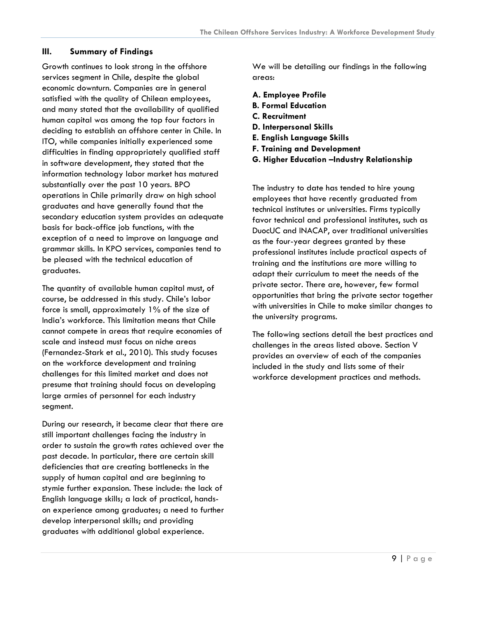## <span id="page-9-0"></span>**III. Summary of Findings**

Growth continues to look strong in the offshore services segment in Chile, despite the global economic downturn. Companies are in general satisfied with the quality of Chilean employees, and many stated that the availability of qualified human capital was among the top four factors in deciding to establish an offshore center in Chile. In ITO, while companies initially experienced some difficulties in finding appropriately qualified staff in software development, they stated that the information technology labor market has matured substantially over the past 10 years. BPO operations in Chile primarily draw on high school graduates and have generally found that the secondary education system provides an adequate basis for back-office job functions, with the exception of a need to improve on language and grammar skills. In KPO services, companies tend to be pleased with the technical education of graduates.

The quantity of available human capital must, of course, be addressed in this study. Chile's labor force is small, approximately 1% of the size of India's workforce. This limitation means that Chile cannot compete in areas that require economies of scale and instead must focus on niche areas (Fernandez-Stark et al., 2010). This study focuses on the workforce development and training challenges for this limited market and does not presume that training should focus on developing large armies of personnel for each industry segment.

During our research, it became clear that there are still important challenges facing the industry in order to sustain the growth rates achieved over the past decade. In particular, there are certain skill deficiencies that are creating bottlenecks in the supply of human capital and are beginning to stymie further expansion. These include: the lack of English language skills; a lack of practical, handson experience among graduates; a need to further develop interpersonal skills; and providing graduates with additional global experience.

We will be detailing our findings in the following areas:

- **A. Employee Profile**
- **B. Formal Education**
- **C. Recruitment**
- **D. Interpersonal Skills**
- **E. English Language Skills**
- **F. Training and Development**
- **G. Higher Education –Industry Relationship**

The industry to date has tended to hire young employees that have recently graduated from technical institutes or universities. Firms typically favor technical and professional institutes, such as DuocUC and INACAP, over traditional universities as the four-year degrees granted by these professional institutes include practical aspects of training and the institutions are more willing to adapt their curriculum to meet the needs of the private sector. There are, however, few formal opportunities that bring the private sector together with universities in Chile to make similar changes to the university programs.

The following sections detail the best practices and challenges in the areas listed above. Section V provides an overview of each of the companies included in the study and lists some of their workforce development practices and methods.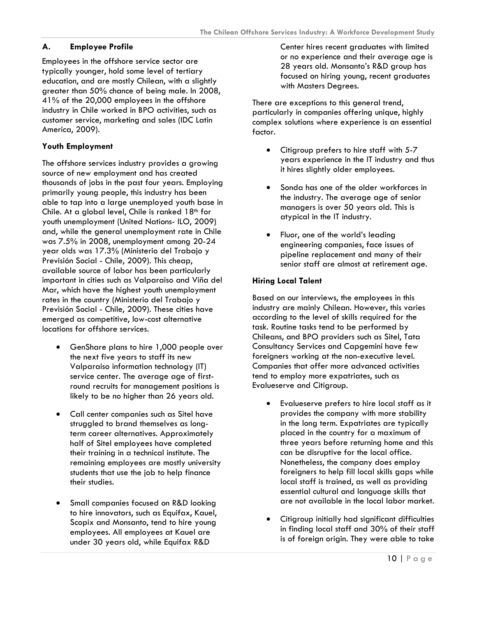## <span id="page-10-0"></span>**A. Employee Profile**

Employees in the offshore service sector are typically younger, hold some level of tertiary education, and are mostly Chilean, with a slightly greater than 50% chance of being male. In 2008, 41% of the 20,000 employees in the offshore industry in Chile worked in BPO activities, such as customer service, marketing and sales (IDC Latin America, 2009).

## **Youth Employment**

The offshore services industry provides a growing source of new employment and has created thousands of jobs in the past four years. Employing primarily young people, this industry has been able to tap into a large unemployed youth base in Chile. At a global level, Chile is ranked  $18<sup>th</sup>$  for youth unemployment (United Nations- ILO, 2009) and, while the general unemployment rate in Chile was 7.5% in 2008, unemployment among 20-24 year olds was 17.3% (Ministerio del Trabajo y Previsión Social - Chile, 2009). This cheap, available source of labor has been particularly important in cities such as Valparaiso and Viña del Mar, which have the highest youth unemployment rates in the country (Ministerio del Trabajo y Previsión Social - Chile, 2009). These cities have emerged as competitive, low-cost alternative locations for offshore services.

- GenShare plans to hire 1,000 people over the next five years to staff its new Valparaiso information technology (IT) service center. The average age of firstround recruits for management positions is likely to be no higher than 26 years old.
- Call center companies such as Sitel have struggled to brand themselves as longterm career alternatives. Approximately half of Sitel employees have completed their training in a technical institute. The remaining employees are mostly university students that use the job to help finance their studies.
- Small companies focused on R&D looking to hire innovators, such as Equifax, Kauel, Scopix and Monsanto, tend to hire young employees. All employees at Kauel are under 30 years old, while Equifax R&D

Center hires recent graduates with limited or no experience and their average age is 28 years old. Monsanto's R&D group has focused on hiring young, recent graduates with Masters Degrees.

There are exceptions to this general trend, particularly in companies offering unique, highly complex solutions where experience is an essential factor.

- Citigroup prefers to hire staff with 5-7 years experience in the IT industry and thus it hires slightly older employees.
- Sonda has one of the older workforces in the industry. The average age of senior managers is over 50 years old. This is atypical in the IT industry.
- Fluor, one of the world's leading engineering companies, face issues of pipeline replacement and many of their senior staff are almost at retirement age.

## **Hiring Local Talent**

Based on our interviews, the employees in this industry are mainly Chilean. However, this varies according to the level of skills required for the task. Routine tasks tend to be performed by Chileans, and BPO providers such as Sitel, Tata Consultancy Services and Capgemini have few foreigners working at the non-executive level. Companies that offer more advanced activities tend to employ more expatriates, such as Evalueserve and Citigroup.

- Evalueserve prefers to hire local staff as it provides the company with more stability in the long term. Expatriates are typically placed in the country for a maximum of three years before returning home and this can be disruptive for the local office. Nonetheless, the company does employ foreigners to help fill local skills gaps while local staff is trained, as well as providing essential cultural and language skills that are not available in the local labor market.
- Citigroup initially had significant difficulties in finding local staff and 30% of their staff is of foreign origin. They were able to take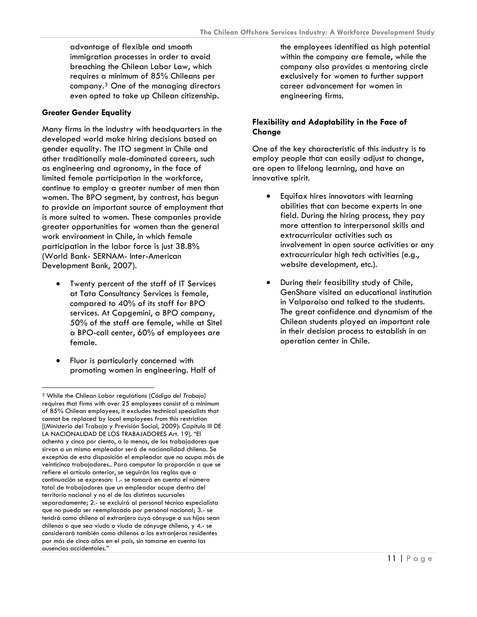advantage of flexible and smooth immigration processes in order to avoid breaching the Chilean Labor Law, which requires a minimum of 85% Chileans per company.3 One of the managing directors even opted to take up Chilean citizenship.

## **Greater Gender Equality**

Many firms in the industry with headquarters in the developed world make hiring decisions based on gender equality. The ITO segment in Chile and other traditionally male-dominated careers, such as engineering and agronomy, in the face of limited female participation in the workforce, continue to employ a greater number of men than women. The BPO segment, by contrast, has begun to provide an important source of employment that is more suited to women. These companies provide greater opportunities for women than the general work environment in Chile, in which female participation in the labor force is just 38.8% (World Bank- SERNAM- Inter-American Development Bank, 2007).

- Twenty percent of the staff of IT Services at Tata Consultancy Services is female, compared to 40% of its staff for BPO services. At Capgemini, a BPO company, 50% of the staff are female, while at Sitel a BPO-call center, 60% of employees are female.
- Fluor is particularly concerned with promoting women in engineering. Half of

-

the employees identified as high potential within the company are female, while the company also provides a mentoring circle exclusively for women to further support career advancement for women in engineering firms.

## **Flexibility and Adaptability in the Face of Change**

One of the key characteristic of this industry is to employ people that can easily adjust to change, are open to lifelong learning, and have an innovative spirit.

- Equifax hires innovators with learning abilities that can become experts in one field. During the hiring process, they pay more attention to interpersonal skills and extracurricular activities such as involvement in open source activities or any extracurricular high tech activities (e.g., website development, etc.).
- During their feasibility study of Chile, GenShare visited an educational institution in Valparaiso and talked to the students. The great confidence and dynamism of the Chilean students played an important role in their decision process to establish in an operation center in Chile.

<sup>3</sup> While the Chilean Labor regulations (*Código del Trabajo)* requires that firms with over 25 employees consist of a minimum of 85% Chilean employees, it excludes technical specialists that cannot be replaced by local employees from this restriction [(Ministerio del Trabajo y Previsión Social, 2009): Capítulo III DE LA NACIONALIDAD DE LOS TRABAJADORES Art. 19]. "El ochenta y cinco por ciento, a lo menos, de los trabajadores que sirvan a un mismo empleador será de nacionalidad chilena. Se exceptúa de esta disposición el empleador que no ocupa más de veinticinco trabajadores.. Para computar la proporción a que se refiere el artículo anterior, se seguirán las reglas que a continuación se expresan: 1.- se tomará en cuenta el número total de trabajadores que un empleador ocupe dentro del territorio nacional y no el de las distintas sucursales separadamente; 2.- se excluirá al personal técnico especialista que no pueda ser reemplazado por personal nacional; 3.- se tendrá como chileno al extranjero cuyo cónyuge o sus hijos sean chilenos o que sea viudo o viuda de cónyuge chileno, y 4.- se considerará también como chilenos a los extranjeros residentes por más de cinco años en el país, sin tomarse en cuenta las ausencias accidentales."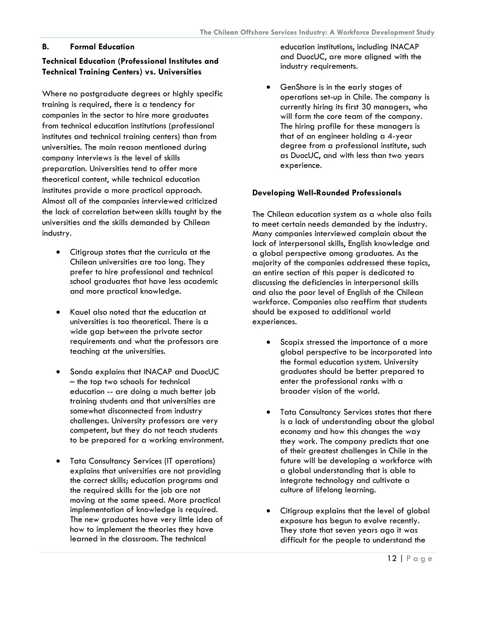## <span id="page-12-0"></span>**B. Formal Education**

## **Technical Education (Professional Institutes and Technical Training Centers) vs. Universities**

Where no postgraduate degrees or highly specific training is required, there is a tendency for companies in the sector to hire more graduates from technical education institutions (professional institutes and technical training centers) than from universities. The main reason mentioned during company interviews is the level of skills preparation. Universities tend to offer more theoretical content, while technical education institutes provide a more practical approach. Almost all of the companies interviewed criticized the lack of correlation between skills taught by the universities and the skills demanded by Chilean industry.

- Citigroup states that the curricula at the Chilean universities are too long. They prefer to hire professional and technical school graduates that have less academic and more practical knowledge.
- Kauel also noted that the education at universities is too theoretical. There is a wide gap between the private sector requirements and what the professors are teaching at the universities.
- Sonda explains that INACAP and DuocUC – the top two schools for technical education -- are doing a much better job training students and that universities are somewhat disconnected from industry challenges. University professors are very competent, but they do not teach students to be prepared for a working environment.
- Tata Consultancy Services (IT operations) explains that universities are not providing the correct skills; education programs and the required skills for the job are not moving at the same speed. More practical implementation of knowledge is required. The new graduates have very little idea of how to implement the theories they have learned in the classroom. The technical

education institutions, including INACAP and DuocUC, are more aligned with the industry requirements.

• GenShare is in the early stages of operations set-up in Chile. The company is currently hiring its first 30 managers, who will form the core team of the company. The hiring profile for these managers is that of an engineer holding a 4-year degree from a professional institute, such as DuocUC, and with less than two years experience.

## **Developing Well-Rounded Professionals**

The Chilean education system as a whole also fails to meet certain needs demanded by the industry. Many companies interviewed complain about the lack of interpersonal skills, English knowledge and a global perspective among graduates. As the majority of the companies addressed these topics, an entire section of this paper is dedicated to discussing the deficiencies in interpersonal skills and also the poor level of English of the Chilean workforce. Companies also reaffirm that students should be exposed to additional world experiences.

- Scopix stressed the importance of a more global perspective to be incorporated into the formal education system. University graduates should be better prepared to enter the professional ranks with a broader vision of the world.
- Tata Consultancy Services states that there is a lack of understanding about the global economy and how this changes the way they work. The company predicts that one of their greatest challenges in Chile in the future will be developing a workforce with a global understanding that is able to integrate technology and cultivate a culture of lifelong learning.
- Citigroup explains that the level of global exposure has begun to evolve recently. They state that seven years ago it was difficult for the people to understand the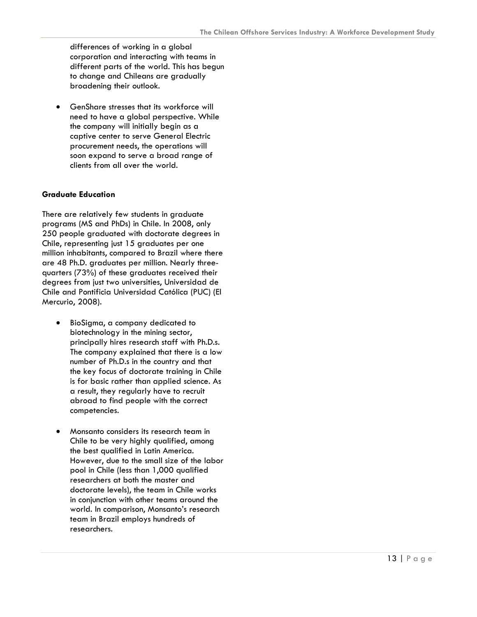differences of working in a global corporation and interacting with teams in different parts of the world. This has begun to change and Chileans are gradually broadening their outlook.

• GenShare stresses that its workforce will need to have a global perspective. While the company will initially begin as a captive center to serve General Electric procurement needs, the operations will soon expand to serve a broad range of clients from all over the world.

#### **Graduate Education**

There are relatively few students in graduate programs (MS and PhDs) in Chile. In 2008, only 250 people graduated with doctorate degrees in Chile, representing just 15 graduates per one million inhabitants, compared to Brazil where there are 48 Ph.D. graduates per million. Nearly threequarters (73%) of these graduates received their degrees from just two universities, Universidad de Chile and Pontificia Universidad Católica (PUC) (El Mercurio, 2008).

- BioSigma, a company dedicated to biotechnology in the mining sector, principally hires research staff with Ph.D.s. The company explained that there is a low number of Ph.D.s in the country and that the key focus of doctorate training in Chile is for basic rather than applied science. As a result, they regularly have to recruit abroad to find people with the correct competencies.
- Monsanto considers its research team in Chile to be very highly qualified, among the best qualified in Latin America. However, due to the small size of the labor pool in Chile (less than 1,000 qualified researchers at both the master and doctorate levels), the team in Chile works in conjunction with other teams around the world. In comparison, Monsanto's research team in Brazil employs hundreds of researchers.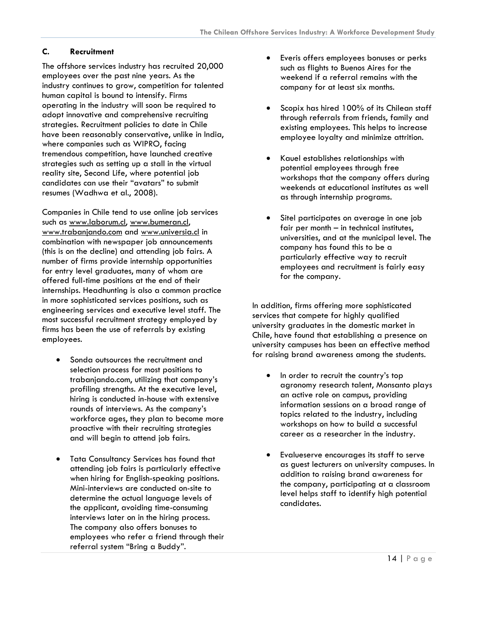## <span id="page-14-0"></span>**C. Recruitment**

The offshore services industry has recruited 20,000 employees over the past nine years. As the industry continues to grow, competition for talented human capital is bound to intensify. Firms operating in the industry will soon be required to adopt innovative and comprehensive recruiting strategies. Recruitment policies to date in Chile have been reasonably conservative, unlike in India, where companies such as WIPRO, facing tremendous competition, have launched creative strategies such as setting up a stall in the virtual reality site, Second Life, where potential job candidates can use their "avatars" to submit resumes (Wadhwa et al., 2008).

Companies in Chile tend to use online job services such as [www.laborum.cl](http://www.laborum.cl/), [www.bumeran.cl](http://www.bumeran.cl/), [www.trabanjando.com](http://www.trabanjando.com/) and [www.universia.cl](http://www.universia.cl/) in combination with newspaper job announcements (this is on the decline) and attending job fairs. A number of firms provide internship opportunities for entry level graduates, many of whom are offered full-time positions at the end of their internships. Headhunting is also a common practice in more sophisticated services positions, such as engineering services and executive level staff. The most successful recruitment strategy employed by firms has been the use of referrals by existing employees.

- Sonda outsources the recruitment and selection process for most positions to trabanjando.com, utilizing that company's profiling strengths. At the executive level, hiring is conducted in-house with extensive rounds of interviews. As the company's workforce ages, they plan to become more proactive with their recruiting strategies and will begin to attend job fairs.
- Tata Consultancy Services has found that attending job fairs is particularly effective when hiring for English-speaking positions. Mini-interviews are conducted on-site to determine the actual language levels of the applicant, avoiding time-consuming interviews later on in the hiring process. The company also offers bonuses to employees who refer a friend through their referral system "Bring a Buddy".
- Everis offers employees bonuses or perks such as flights to Buenos Aires for the weekend if a referral remains with the company for at least six months.
- Scopix has hired 100% of its Chilean staff through referrals from friends, family and existing employees. This helps to increase employee loyalty and minimize attrition.
- Kauel establishes relationships with potential employees through free workshops that the company offers during weekends at educational institutes as well as through internship programs.
- Sitel participates on average in one job fair per month – in technical institutes, universities, and at the municipal level. The company has found this to be a particularly effective way to recruit employees and recruitment is fairly easy for the company.

In addition, firms offering more sophisticated services that compete for highly qualified university graduates in the domestic market in Chile, have found that establishing a presence on university campuses has been an effective method for raising brand awareness among the students.

- In order to recruit the country's top agronomy research talent, Monsanto plays an active role on campus, providing information sessions on a broad range of topics related to the industry, including workshops on how to build a successful career as a researcher in the industry.
- Evalueserve encourages its staff to serve as guest lecturers on university campuses. In addition to raising brand awareness for the company, participating at a classroom level helps staff to identify high potential candidates.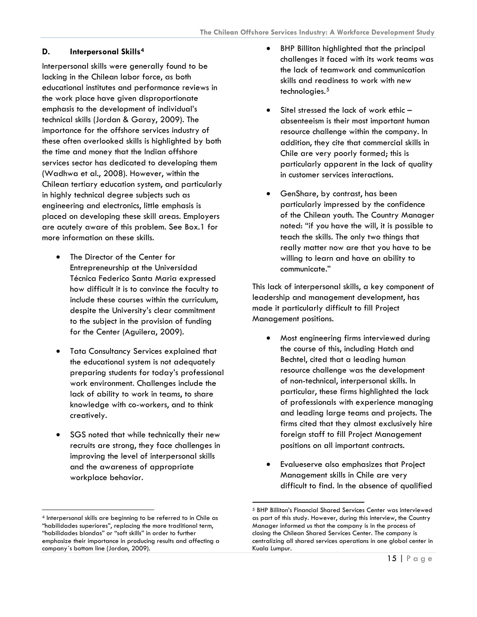## <span id="page-15-0"></span>**D. Interpersonal Skills[4](#page-15-1)**

Interpersonal skills were generally found to be lacking in the Chilean labor force, as both educational institutes and performance reviews in the work place have given disproportionate emphasis to the development of individual's technical skills (Jordan & Garay, 2009). The importance for the offshore services industry of these often overlooked skills is highlighted by both the time and money that the Indian offshore services sector has dedicated to developing them (Wadhwa et al., 2008). However, within the Chilean tertiary education system, and particularly in highly technical degree subjects such as engineering and electronics, little emphasis is placed on developing these skill areas. Employers are acutely aware of this problem. See Box.1 for more information on these skills.

- The Director of the Center for Entrepreneurship at the Universidad Técnica Federico Santa Maria expressed how difficult it is to convince the faculty to include these courses within the curriculum, despite the University's clear commitment to the subject in the provision of funding for the Center (Aguilera, 2009).
- Tata Consultancy Services explained that the educational system is not adequately preparing students for today's professional work environment. Challenges include the lack of ability to work in teams, to share knowledge with co-workers, and to think creatively.
- SGS noted that while technically their new recruits are strong, they face challenges in improving the level of interpersonal skills and the awareness of appropriate workplace behavior.

-

- BHP Billiton highlighted that the principal challenges it faced with its work teams was the lack of teamwork and communication skills and readiness to work with new technologies.<sup>[5](#page-15-2)</sup>
- Sitel stressed the lack of work ethic absenteeism is their most important human resource challenge within the company. In addition, they cite that commercial skills in Chile are very poorly formed; this is particularly apparent in the lack of quality in customer services interactions.
- GenShare, by contrast, has been particularly impressed by the confidence of the Chilean youth. The Country Manager noted: "if you have the will, it is possible to teach the skills. The only two things that really matter now are that you have to be willing to learn and have an ability to communicate."

This lack of interpersonal skills, a key component of leadership and management development, has made it particularly difficult to fill Project Management positions.

- Most engineering firms interviewed during the course of this, including Hatch and Bechtel, cited that a leading human resource challenge was the development of non-technical, interpersonal skills. In particular, these firms highlighted the lack of professionals with experience managing and leading large teams and projects. The firms cited that they almost exclusively hire foreign staff to fill Project Management positions on all important contracts.
- Evalueserve also emphasizes that Project Management skills in Chile are very difficult to find. In the absence of qualified

 $\overline{a}$ 

<span id="page-15-2"></span><span id="page-15-1"></span><sup>4</sup> Interpersonal skills are beginning to be referred to in Chile as "habilidades superiores", replacing the more traditional term, "habilidades blandas" or "soft skills" in order to further emphasize their importance in producing results and affecting a company´s bottom line (Jordan, 2009).

<sup>5</sup> BHP Billiton's Financial Shared Services Center was interviewed as part of this study. However, during this interview, the Country Manager informed us that the company is in the process of closing the Chilean Shared Services Center. The company is centralizing all shared services operations in one global center in Kuala Lumpur.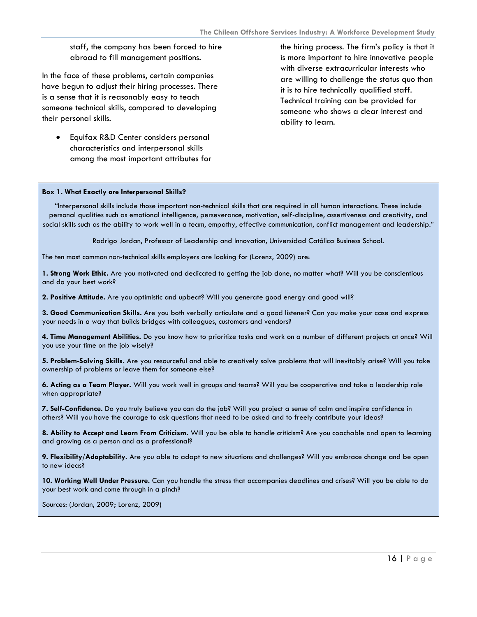staff, the company has been forced to hire abroad to fill management positions.

In the face of these problems, certain companies have begun to adjust their hiring processes. There is a sense that it is reasonably easy to teach someone technical skills, compared to developing their personal skills.

• Equifax R&D Center considers personal characteristics and interpersonal skills among the most important attributes for the hiring process. The firm's policy is that it is more important to hire innovative people with diverse extracurricular interests who are willing to challenge the status quo than it is to hire technically qualified staff. Technical training can be provided for someone who shows a clear interest and ability to learn.

#### **Box 1. What Exactly are Interpersonal Skills?**

"Interpersonal skills include those important non-technical skills that are required in all human interactions. These include personal qualities such as emotional intelligence, perseverance, motivation, self-discipline, assertiveness and creativity, and social skills such as the ability to work well in a team, empathy, effective communication, conflict management and leadership."

Rodrigo Jordan, Professor of Leadership and Innovation, Universidad Católica Business School.

The ten most common non-technical skills employers are looking for (Lorenz, 2009) are:

**1. Strong Work Ethic.** Are you motivated and dedicated to getting the job done, no matter what? Will you be conscientious and do your best work?

**2. Positive Attitude.** Are you optimistic and upbeat? Will you generate good energy and good will?

**3. Good Communication Skills.** Are you both verbally articulate and a good listener? Can you make your case and express your needs in a way that builds bridges with colleagues, customers and vendors?

**4. Time Management Abilities.** Do you know how to prioritize tasks and work on a number of different projects at once? Will you use your time on the job wisely?

**5. Problem-Solving Skills.** Are you resourceful and able to creatively solve problems that will inevitably arise? Will you take ownership of problems or leave them for someone else?

**6. Acting as a Team Player.** Will you work well in groups and teams? Will you be cooperative and take a leadership role when appropriate?

**7. Self-Confidence.** Do you truly believe you can do the job? Will you project a sense of calm and inspire confidence in others? Will you have the courage to ask questions that need to be asked and to freely contribute your ideas?

**8. Ability to Accept and Learn From Criticism.** Will you be able to handle criticism? Are you coachable and open to learning and growing as a person and as a professional?

**9. Flexibility/Adaptability.** Are you able to adapt to new situations and challenges? Will you embrace change and be open to new ideas?

**10. Working Well Under Pressure.** Can you handle the stress that accompanies deadlines and crises? Will you be able to do your best work and come through in a pinch?

Sources: (Jordan, 2009; Lorenz, 2009)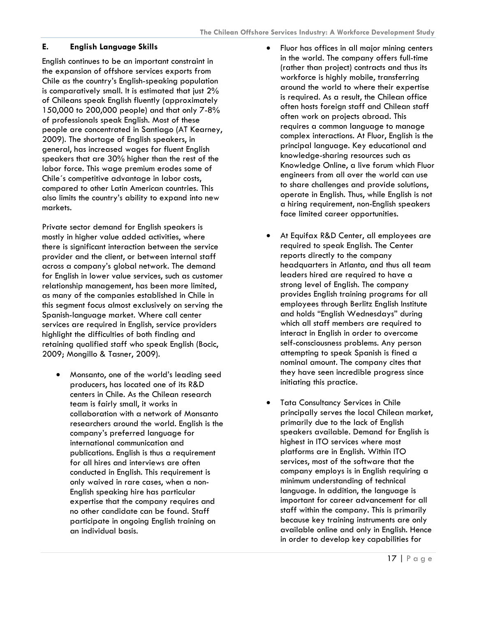## <span id="page-17-0"></span>**E. English Language Skills**

English continues to be an important constraint in the expansion of offshore services exports from Chile as the country's English-speaking population is comparatively small. It is estimated that just 2% of Chileans speak English fluently (approximately 150,000 to 200,000 people) and that only 7-8% of professionals speak English. Most of these people are concentrated in Santiago (AT Kearney, 2009). The shortage of English speakers, in general, has increased wages for fluent English speakers that are 30% higher than the rest of the labor force. This wage premium erodes some of Chile´s competitive advantage in labor costs, compared to other Latin American countries. This also limits the country's ability to expand into new markets.

Private sector demand for English speakers is mostly in higher value added activities, where there is significant interaction between the service provider and the client, or between internal staff across a company's global network. The demand for English in lower value services, such as customer relationship management, has been more limited, as many of the companies established in Chile in this segment focus almost exclusively on serving the Spanish-language market. Where call center services are required in English, service providers highlight the difficulties of both finding and retaining qualified staff who speak English (Bocic, 2009; Mongillo & Tasner, 2009).

• Monsanto, one of the world's leading seed producers, has located one of its R&D centers in Chile. As the Chilean research team is fairly small, it works in collaboration with a network of Monsanto researchers around the world. English is the company's preferred language for international communication and publications. English is thus a requirement for all hires and interviews are often conducted in English. This requirement is only waived in rare cases, when a non-English speaking hire has particular expertise that the company requires and no other candidate can be found. Staff participate in ongoing English training on an individual basis.

- Fluor has offices in all major mining centers in the world. The company offers full-time (rather than project) contracts and thus its workforce is highly mobile, transferring around the world to where their expertise is required. As a result, the Chilean office often hosts foreign staff and Chilean staff often work on projects abroad. This requires a common language to manage complex interactions. At Fluor, English is the principal language. Key educational and knowledge-sharing resources such as Knowledge Online, a live forum which Fluor engineers from all over the world can use to share challenges and provide solutions, operate in English. Thus, while English is not a hiring requirement, non-English speakers face limited career opportunities.
- At Equifax R&D Center, all employees are required to speak English. The Center reports directly to the company headquarters in Atlanta, and thus all team leaders hired are required to have a strong level of English. The company provides English training programs for all employees through Berlitz English Institute and holds "English Wednesdays" during which all staff members are required to interact in English in order to overcome self-consciousness problems. Any person attempting to speak Spanish is fined a nominal amount. The company cites that they have seen incredible progress since initiating this practice.
- **Tata Consultancy Services in Chile** principally serves the local Chilean market, primarily due to the lack of English speakers available. Demand for English is highest in ITO services where most platforms are in English. Within ITO services, most of the software that the company employs is in English requiring a minimum understanding of technical language. In addition, the language is important for career advancement for all staff within the company. This is primarily because key training instruments are only available online and only in English. Hence in order to develop key capabilities for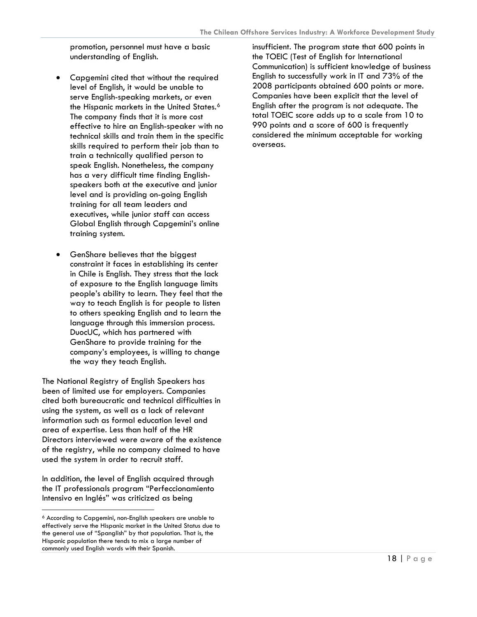promotion, personnel must have a basic understanding of English.

- Capgemini cited that without the required level of English, it would be unable to serve English-speaking markets, or even the Hispanic markets in the United States.<sup>[6](#page-18-0)</sup> The company finds that it is more cost effective to hire an English-speaker with no technical skills and train them in the specific skills required to perform their job than to train a technically qualified person to speak English. Nonetheless, the company has a very difficult time finding Englishspeakers both at the executive and junior level and is providing on-going English training for all team leaders and executives, while junior staff can access Global English through Capgemini's online training system.
- GenShare believes that the biggest constraint it faces in establishing its center in Chile is English. They stress that the lack of exposure to the English language limits people's ability to learn. They feel that the way to teach English is for people to listen to others speaking English and to learn the language through this immersion process. DuocUC, which has partnered with GenShare to provide training for the company's employees, is willing to change the way they teach English.

The National Registry of English Speakers has been of limited use for employers. Companies cited both bureaucratic and technical difficulties in using the system, as well as a lack of relevant information such as formal education level and area of expertise. Less than half of the HR Directors interviewed were aware of the existence of the registry, while no company claimed to have used the system in order to recruit staff.

In addition, the level of English acquired through the IT professionals program "Perfeccionamiento Intensivo en Inglés" was criticized as being

-

insufficient. The program state that 600 points in the TOEIC (Test of English for International Communication) is sufficient knowledge of business English to successfully work in IT and 73% of the 2008 participants obtained 600 points or more. Companies have been explicit that the level of English after the program is not adequate. The total TOEIC score adds up to a scale from 10 to 990 points and a score of 600 is frequently considered the minimum acceptable for working overseas.

<span id="page-18-0"></span><sup>6</sup> According to Capgemini, non-English speakers are unable to effectively serve the Hispanic market in the United Status due to the general use of "Spanglish" by that population. That is, the Hispanic population there tends to mix a large number of commonly used English words with their Spanish.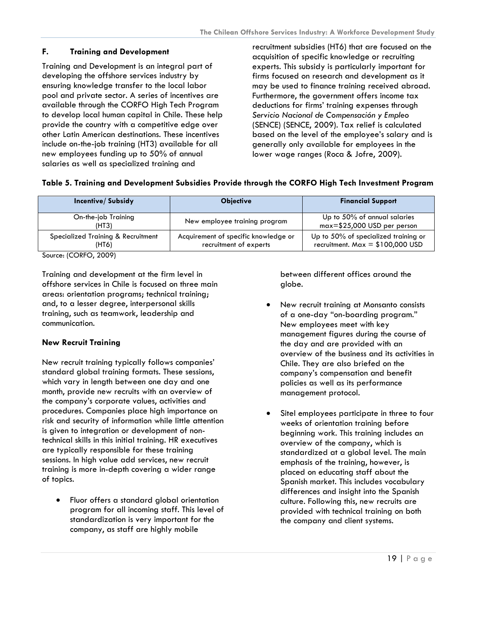## <span id="page-19-0"></span>**F. Training and Development**

Training and Development is an integral part of developing the offshore services industry by ensuring knowledge transfer to the local labor pool and private sector. A series of incentives are available through the CORFO High Tech Program to develop local human capital in Chile. These help provide the country with a competitive edge over other Latin American destinations. These incentives include on-the-job training (HT3) available for all new employees funding up to 50% of annual salaries as well as specialized training and

recruitment subsidies (HT6) that are focused on the acquisition of specific knowledge or recruiting experts. This subsidy is particularly important for firms focused on research and development as it may be used to finance training received abroad. Furthermore, the government offers income tax deductions for firms' training expenses through *Servicio Nacional de Compensación y Empleo* (SENCE) (SENCE, 2009). Tax relief is calculated based on the level of the employee's salary and is generally only available for employees in the lower wage ranges (Roca & Jofre, 2009).

## **Table 5. Training and Development Subsidies Provide through the CORFO High Tech Investment Program**

| <b>Incentive/Subsidy</b>                    | <b>Objective</b>                                               | <b>Financial Support</b>                                                  |
|---------------------------------------------|----------------------------------------------------------------|---------------------------------------------------------------------------|
| On-the-job Training<br>(HT3)                | New employee training program                                  | Up to 50% of annual salaries<br>$max=$ \$25,000 USD per person            |
| Specialized Training & Recruitment<br>(HT6) | Acquirement of specific knowledge or<br>recruitment of experts | Up to 50% of specialized training or<br>recruitment. $Max = $100,000$ USD |

Source: (CORFO, 2009)

Training and development at the firm level in offshore services in Chile is focused on three main areas: orientation programs; technical training; and, to a lesser degree, interpersonal skills training, such as teamwork, leadership and communication.

## **New Recruit Training**

New recruit training typically follows companies' standard global training formats. These sessions, which vary in length between one day and one month, provide new recruits with an overview of the company's corporate values, activities and procedures. Companies place high importance on risk and security of information while little attention is given to integration or development of nontechnical skills in this initial training. HR executives are typically responsible for these training sessions. In high value add services, new recruit training is more in-depth covering a wider range of topics.

• Fluor offers a standard global orientation program for all incoming staff. This level of standardization is very important for the company, as staff are highly mobile

between different offices around the globe.

- New recruit training at Monsanto consists of a one-day "on-boarding program." New employees meet with key management figures during the course of the day and are provided with an overview of the business and its activities in Chile. They are also briefed on the company's compensation and benefit policies as well as its performance management protocol.
- Sitel employees participate in three to four weeks of orientation training before beginning work. This training includes an overview of the company, which is standardized at a global level. The main emphasis of the training, however, is placed on educating staff about the Spanish market. This includes vocabulary differences and insight into the Spanish culture. Following this, new recruits are provided with technical training on both the company and client systems.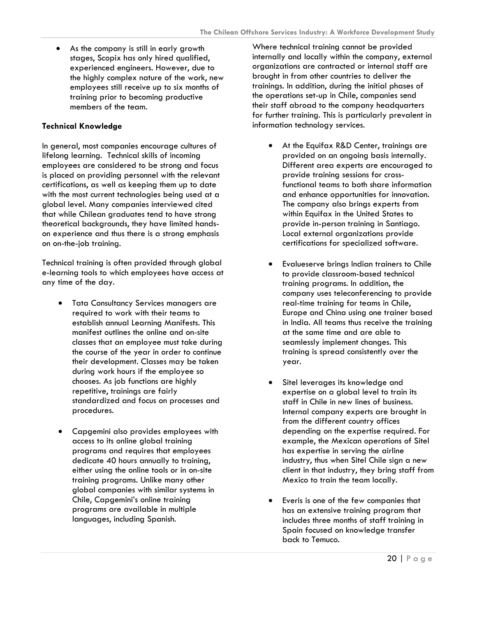• As the company is still in early growth stages, Scopix has only hired qualified, experienced engineers. However, due to the highly complex nature of the work, new employees still receive up to six months of training prior to becoming productive members of the team.

## **Technical Knowledge**

In general, most companies encourage cultures of lifelong learning. Technical skills of incoming employees are considered to be strong and focus is placed on providing personnel with the relevant certifications, as well as keeping them up to date with the most current technologies being used at a global level. Many companies interviewed cited that while Chilean graduates tend to have strong theoretical backgrounds, they have limited handson experience and thus there is a strong emphasis on on-the-job training.

Technical training is often provided through global e-learning tools to which employees have access at any time of the day.

- Tata Consultancy Services managers are required to work with their teams to establish annual Learning Manifests. This manifest outlines the online and on-site classes that an employee must take during the course of the year in order to continue their development. Classes may be taken during work hours if the employee so chooses. As job functions are highly repetitive, trainings are fairly standardized and focus on processes and procedures.
- Capgemini also provides employees with access to its online global training programs and requires that employees dedicate 40 hours annually to training, either using the online tools or in on-site training programs. Unlike many other global companies with similar systems in Chile, Capgemini's online training programs are available in multiple languages, including Spanish.

Where technical training cannot be provided internally and locally within the company, external organizations are contracted or internal staff are brought in from other countries to deliver the trainings. In addition, during the initial phases of the operations set-up in Chile, companies send their staff abroad to the company headquarters for further training. This is particularly prevalent in information technology services.

- At the Equifax R&D Center, trainings are provided on an ongoing basis internally. Different area experts are encouraged to provide training sessions for crossfunctional teams to both share information and enhance opportunities for innovation. The company also brings experts from within Equifax in the United States to provide in-person training in Santiago. Local external organizations provide certifications for specialized software.
- Evalueserve brings Indian trainers to Chile to provide classroom-based technical training programs. In addition, the company uses teleconferencing to provide real-time training for teams in Chile, Europe and China using one trainer based in India. All teams thus receive the training at the same time and are able to seamlessly implement changes. This training is spread consistently over the year.
- Sitel leverages its knowledge and expertise on a global level to train its staff in Chile in new lines of business. Internal company experts are brought in from the different country offices depending on the expertise required. For example, the Mexican operations of Sitel has expertise in serving the airline industry, thus when Sitel Chile sign a new client in that industry, they bring staff from Mexico to train the team locally.
- Everis is one of the few companies that has an extensive training program that includes three months of staff training in Spain focused on knowledge transfer back to Temuco.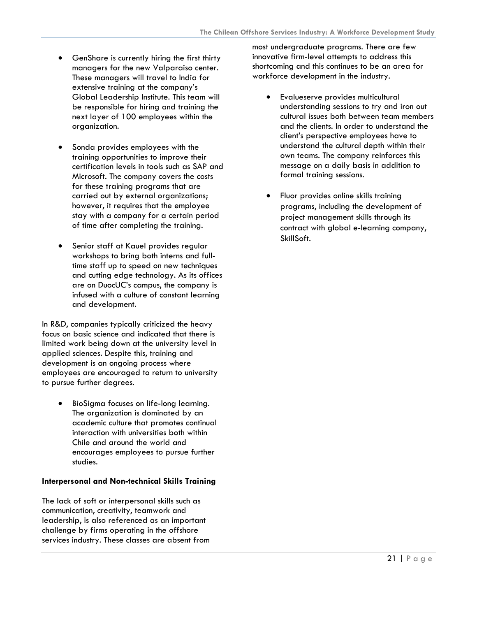- GenShare is currently hiring the first thirty managers for the new Valparaiso center. These managers will travel to India for extensive training at the company's Global Leadership Institute. This team will be responsible for hiring and training the next layer of 100 employees within the organization.
- Sonda provides employees with the training opportunities to improve their certification levels in tools such as SAP and Microsoft. The company covers the costs for these training programs that are carried out by external organizations; however, it requires that the employee stay with a company for a certain period of time after completing the training.
- Senior staff at Kauel provides regular workshops to bring both interns and fulltime staff up to speed on new techniques and cutting edge technology. As its offices are on DuocUC's campus, the company is infused with a culture of constant learning and development.

In R&D, companies typically criticized the heavy focus on basic science and indicated that there is limited work being down at the university level in applied sciences. Despite this, training and development is an ongoing process where employees are encouraged to return to university to pursue further degrees.

• BioSigma focuses on life-long learning. The organization is dominated by an academic culture that promotes continual interaction with universities both within Chile and around the world and encourages employees to pursue further studies.

## **Interpersonal and Non-technical Skills Training**

The lack of soft or interpersonal skills such as communication, creativity, teamwork and leadership, is also referenced as an important challenge by firms operating in the offshore services industry. These classes are absent from

most undergraduate programs. There are few innovative firm-level attempts to address this shortcoming and this continues to be an area for workforce development in the industry.

- Evalueserve provides multicultural understanding sessions to try and iron out cultural issues both between team members and the clients. In order to understand the client's perspective employees have to understand the cultural depth within their own teams. The company reinforces this message on a daily basis in addition to formal training sessions.
- Fluor provides online skills training programs, including the development of project management skills through its contract with global e-learning company, SkillSoft.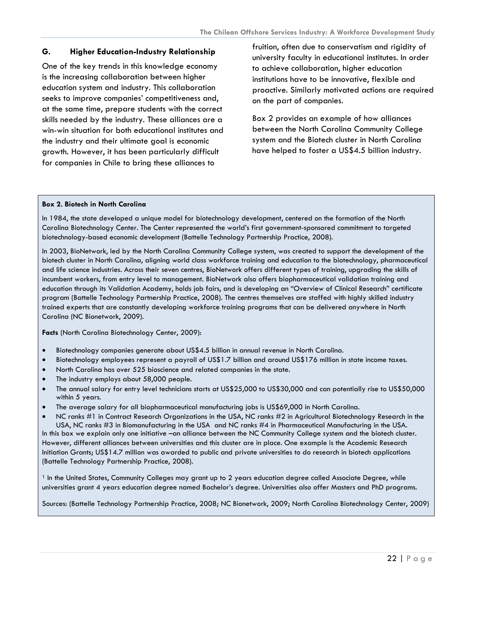#### <span id="page-22-0"></span>**G. Higher Education-Industry Relationship**

One of the key trends in this knowledge economy is the increasing collaboration between higher education system and industry. This collaboration seeks to improve companies' competitiveness and, at the same time, prepare students with the correct skills needed by the industry. These alliances are a win-win situation for both educational institutes and the industry and their ultimate goal is economic growth. However, it has been particularly difficult for companies in Chile to bring these alliances to

fruition, often due to conservatism and rigidity of university faculty in educational institutes. In order to achieve collaboration, higher education institutions have to be innovative, flexible and proactive. Similarly motivated actions are required on the part of companies.

Box 2 provides an example of how alliances between the North Carolina Community College system and the Biotech cluster in North Carolina have helped to foster a US\$4.5 billion industry.

#### **Box 2. Biotech in North Carolina**

In 1984, the state developed a unique model for biotechnology development, centered on the formation of the North Carolina Biotechnology Center. The Center represented the world's first government-sponsored commitment to targeted biotechnology-based economic development (Battelle Technology Partnership Practice, 2008).

In 2003, BioNetwork, led by the North Carolina Community College system, was created to support the development of the biotech cluster in North Carolina, aligning world class workforce training and education to the biotechnology, pharmaceutical and life science industries. Across their seven centres, BioNetwork offers different types of training, upgrading the skills of incumbent workers, from entry level to management. BioNetwork also offers biopharmaceutical validation training and education through its Validation Academy, holds job fairs, and is developing an "Overview of Clinical Research" certificate program (Battelle Technology Partnership Practice, 2008). The centres themselves are staffed with highly skilled industry trained experts that are constantly developing workforce training programs that can be delivered anywhere in North Carolina (NC Bionetwork, 2009).

**Facts** (North Carolina Biotechnology Center, 2009):

- Biotechnology companies generate about US\$4.5 billion in annual revenue in North Carolina.
- Biotechnology employees represent a payroll of US\$1.7 billion and around US\$176 million in state income taxes.
- North Carolina has over 525 bioscience and related companies in the state.
- The industry employs about 58,000 people.
- The annual salary for entry level technicians starts at US\$25,000 to US\$30,000 and can potentially rise to US\$50,000 within 5 years.
- The average salary for all biopharmaceutical manufacturing jobs is US\$69,000 in North Carolina.
- NC ranks #1 in Contract Research Organizations in the USA, NC ranks #2 in Agricultural Biotechnology Research in the USA, NC ranks #3 in Biomanufacturing in the USA and NC ranks #4 in Pharmaceutical Manufacturing in the USA.

In this box we explain only one initiative –an alliance between the NC Community College system and the biotech cluster. However, different alliances between universities and this cluster are in place. One example is the Academic Research Initiation Grants; US\$14.7 million was awarded to public and private universities to do research in biotech applications (Battelle Technology Partnership Practice, 2008).

<sup>1</sup> In the United States, Community Colleges may grant up to 2 years education degree called Associate Degree, while universities grant 4 years education degree named Bachelor's degree. Universities also offer Masters and PhD programs.

Sources: (Battelle Technology Partnership Practice, 2008; NC Bionetwork, 2009; North Carolina Biotechnology Center, 2009)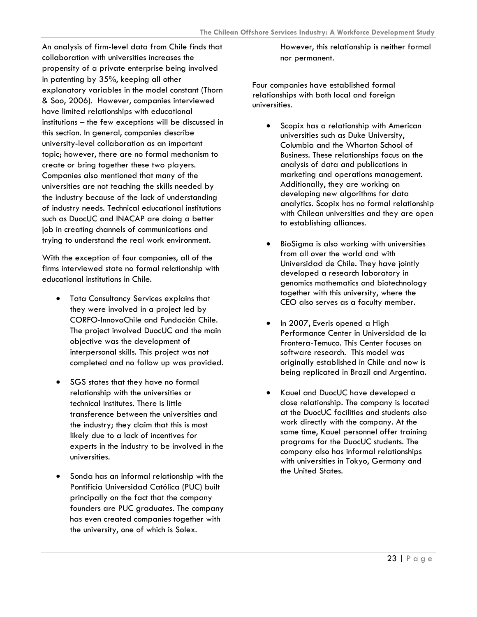An analysis of firm-level data from Chile finds that collaboration with universities increases the propensity of a private enterprise being involved in patenting by 35%, keeping all other explanatory variables in the model constant (Thorn & Soo, 2006). However, companies interviewed have limited relationships with educational institutions – the few exceptions will be discussed in this section. In general, companies describe university-level collaboration as an important topic; however, there are no formal mechanism to create or bring together these two players. Companies also mentioned that many of the universities are not teaching the skills needed by the industry because of the lack of understanding of industry needs. Technical educational institutions such as DuocUC and INACAP are doing a better job in creating channels of communications and trying to understand the real work environment.

With the exception of four companies, all of the firms interviewed state no formal relationship with educational institutions in Chile.

- Tata Consultancy Services explains that they were involved in a project led by CORFO-InnovaChile and Fundación Chile. The project involved DuocUC and the main objective was the development of interpersonal skills. This project was not completed and no follow up was provided.
- SGS states that they have no formal relationship with the universities or technical institutes. There is little transference between the universities and the industry; they claim that this is most likely due to a lack of incentives for experts in the industry to be involved in the universities.
- Sonda has an informal relationship with the Pontificia Universidad Católica (PUC) built principally on the fact that the company founders are PUC graduates. The company has even created companies together with the university, one of which is Solex.

However, this relationship is neither formal nor permanent.

Four companies have established formal relationships with both local and foreign universities.

- Scopix has a relationship with American universities such as Duke University, Columbia and the Wharton School of Business. These relationships focus on the analysis of data and publications in marketing and operations management. Additionally, they are working on developing new algorithms for data analytics. Scopix has no formal relationship with Chilean universities and they are open to establishing alliances.
- BioSigma is also working with universities from all over the world and with Universidad de Chile. They have jointly developed a research laboratory in genomics mathematics and biotechnology together with this university, where the CEO also serves as a faculty member.
- In 2007, Everis opened a High Performance Center in Universidad de la Frontera-Temuco. This Center focuses on software research. This model was originally established in Chile and now is being replicated in Brazil and Argentina.
- Kauel and DuocUC have developed a close relationship. The company is located at the DuocUC facilities and students also work directly with the company. At the same time, Kauel personnel offer training programs for the DuocUC students. The company also has informal relationships with universities in Tokyo, Germany and the United States.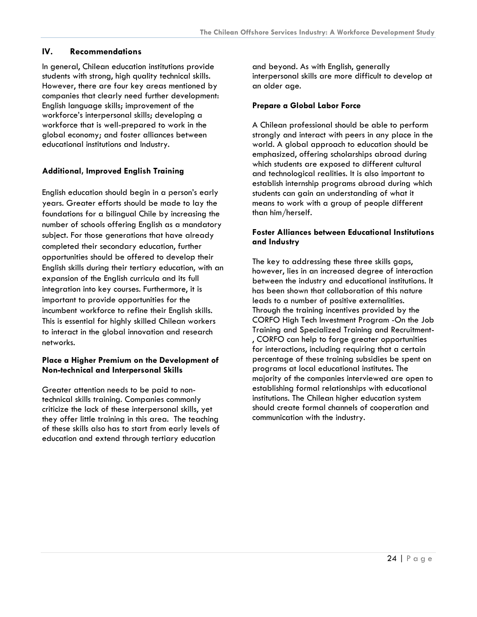#### <span id="page-24-0"></span>**IV. Recommendations**

In general, Chilean education institutions provide students with strong, high quality technical skills. However, there are four key areas mentioned by companies that clearly need further development: English language skills; improvement of the workforce's interpersonal skills; developing a workforce that is well-prepared to work in the global economy; and foster alliances between educational institutions and Industry.

#### **Additional, Improved English Training**

English education should begin in a person's early years. Greater efforts should be made to lay the foundations for a bilingual Chile by increasing the number of schools offering English as a mandatory subject. For those generations that have already completed their secondary education, further opportunities should be offered to develop their English skills during their tertiary education, with an expansion of the English curricula and its full integration into key courses. Furthermore, it is important to provide opportunities for the incumbent workforce to refine their English skills. This is essential for highly skilled Chilean workers to interact in the global innovation and research networks.

#### **Place a Higher Premium on the Development of Non-technical and Interpersonal Skills**

Greater attention needs to be paid to nontechnical skills training. Companies commonly criticize the lack of these interpersonal skills, yet they offer little training in this area. The teaching of these skills also has to start from early levels of education and extend through tertiary education

and beyond. As with English, generally interpersonal skills are more difficult to develop at an older age.

#### **Prepare a Global Labor Force**

A Chilean professional should be able to perform strongly and interact with peers in any place in the world. A global approach to education should be emphasized, offering scholarships abroad during which students are exposed to different cultural and technological realities. It is also important to establish internship programs abroad during which students can gain an understanding of what it means to work with a group of people different than him/herself.

#### **Foster Alliances between Educational Institutions and Industry**

The key to addressing these three skills gaps, however, lies in an increased degree of interaction between the industry and educational institutions. It has been shown that collaboration of this nature leads to a number of positive externalities. Through the training incentives provided by the CORFO High Tech Investment Program -On the Job Training and Specialized Training and Recruitment- , CORFO can help to forge greater opportunities for interactions, including requiring that a certain percentage of these training subsidies be spent on programs at local educational institutes. The majority of the companies interviewed are open to establishing formal relationships with educational institutions. The Chilean higher education system should create formal channels of cooperation and communication with the industry.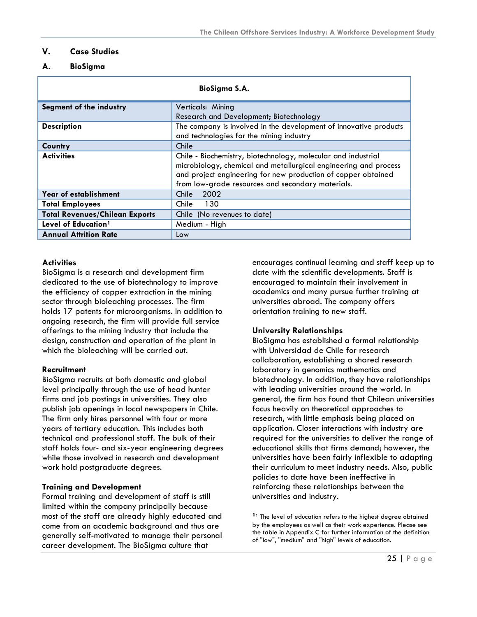#### <span id="page-25-0"></span>**V. Case Studies**

#### **A. BioSigma**

| BioSigma S.A.                         |                                                                                                                                                                                                                                                         |  |  |
|---------------------------------------|---------------------------------------------------------------------------------------------------------------------------------------------------------------------------------------------------------------------------------------------------------|--|--|
| Segment of the industry               | Verticals: Mining<br>Research and Development; Biotechnology                                                                                                                                                                                            |  |  |
| <b>Description</b>                    | The company is involved in the development of innovative products<br>and technologies for the mining industry                                                                                                                                           |  |  |
| Country                               | Chile                                                                                                                                                                                                                                                   |  |  |
| <b>Activities</b>                     | Chile - Biochemistry, biotechnology, molecular and industrial<br>microbiology, chemical and metallurgical engineering and process<br>and project engineering for new production of copper obtained<br>from low-grade resources and secondary materials. |  |  |
| Year of establishment                 | 2002<br>Chile                                                                                                                                                                                                                                           |  |  |
| <b>Total Employees</b>                | Chile<br>130                                                                                                                                                                                                                                            |  |  |
| <b>Total Revenues/Chilean Exports</b> | Chile (No revenues to date)                                                                                                                                                                                                                             |  |  |
| Level of Education <sup>1</sup>       | Medium - High                                                                                                                                                                                                                                           |  |  |
| <b>Annual Attrition Rate</b>          | Low                                                                                                                                                                                                                                                     |  |  |

#### **Activities**

BioSigma is a research and development firm dedicated to the use of biotechnology to improve the efficiency of copper extraction in the mining sector through bioleaching processes. The firm holds 17 patents for microorganisms. In addition to ongoing research, the firm will provide full service offerings to the mining industry that include the design, construction and operation of the plant in which the bioleaching will be carried out.

#### **Recruitment**

BioSigma recruits at both domestic and global level principally through the use of head hunter firms and job postings in universities. They also publish job openings in local newspapers in Chile. The firm only hires personnel with four or more years of tertiary education. This includes both technical and professional staff. The bulk of their staff holds four- and six-year engineering degrees while those involved in research and development work hold postgraduate degrees.

#### **Training and Development**

Formal training and development of staff is still limited within the company principally because most of the staff are already highly educated and come from an academic background and thus are generally self-motivated to manage their personal career development. The BioSigma culture that

encourages continual learning and staff keep up to date with the scientific developments. Staff is encouraged to maintain their involvement in academics and many pursue further training at universities abroad. The company offers orientation training to new staff.

#### **University Relationships**

BioSigma has established a formal relationship with Universidad de Chile for research collaboration, establishing a shared research laboratory in genomics mathematics and biotechnology. In addition, they have relationships with leading universities around the world. In general, the firm has found that Chilean universities focus heavily on theoretical approaches to research, with little emphasis being placed on application. Closer interactions with industry are required for the universities to deliver the range of educational skills that firms demand; however, the universities have been fairly inflexible to adapting their curriculum to meet industry needs. Also, public policies to date have been ineffective in reinforcing these relationships between the universities and industry.

<sup>1</sup> The level of education refers to the highest degree obtained by the employees as well as their work experience. Please see the table in Appendix C for further information of the definition of "low", "medium" and "high" levels of education.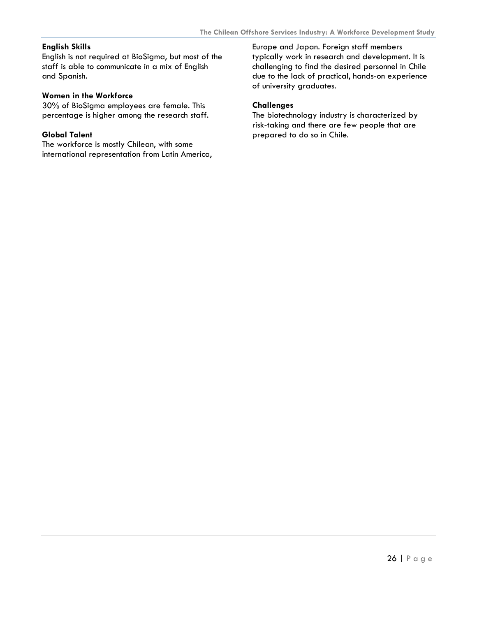#### **English Skills**

English is not required at BioSigma, but most of the staff is able to communicate in a mix of English and Spanish.

#### **Women in the Workforce**

30% of BioSigma employees are female. This percentage is higher among the research staff.

#### **Global Talent**

The workforce is mostly Chilean, with some international representation from Latin America,

Europe and Japan. Foreign staff members typically work in research and development. It is challenging to find the desired personnel in Chile due to the lack of practical, hands-on experience of university graduates.

#### **Challenges**

The biotechnology industry is characterized by risk-taking and there are few people that are prepared to do so in Chile.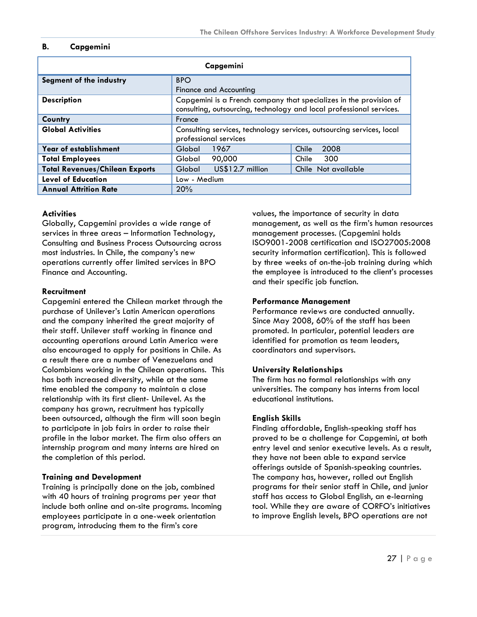#### <span id="page-27-0"></span>**B. Capgemini**

| Capgemini                                                                                         |                                                                      |                     |  |
|---------------------------------------------------------------------------------------------------|----------------------------------------------------------------------|---------------------|--|
| Segment of the industry                                                                           | <b>BPO</b>                                                           |                     |  |
|                                                                                                   | Finance and Accounting                                               |                     |  |
| <b>Description</b>                                                                                | Capgemini is a French company that specializes in the provision of   |                     |  |
|                                                                                                   | consulting, outsourcing, technology and local professional services. |                     |  |
| Country                                                                                           | France                                                               |                     |  |
| <b>Global Activities</b><br>Consulting services, technology services, outsourcing services, local |                                                                      |                     |  |
|                                                                                                   | professional services                                                |                     |  |
| <b>Year of establishment</b>                                                                      | 2008<br>1967<br>Global<br>Chile                                      |                     |  |
| <b>Total Employees</b>                                                                            | 90,000<br>Global                                                     | 300<br>Chile        |  |
| <b>Total Revenues/Chilean Exports</b>                                                             | US\$12.7 million<br>Global                                           | Chile Not available |  |
| <b>Level of Education</b>                                                                         | Low - Medium                                                         |                     |  |
| <b>Annual Attrition Rate</b>                                                                      | 20%                                                                  |                     |  |

#### **Activities**

Globally, Capgemini provides a wide range of services in three areas – Information Technology, Consulting and Business Process Outsourcing across most industries. In Chile, the company's new operations currently offer limited services in BPO Finance and Accounting.

#### **Recruitment**

Capgemini entered the Chilean market through the purchase of Unilever's Latin American operations and the company inherited the great majority of their staff. Unilever staff working in finance and accounting operations around Latin America were also encouraged to apply for positions in Chile. As a result there are a number of Venezuelans and Colombians working in the Chilean operations. This has both increased diversity, while at the same time enabled the company to maintain a close relationship with its first client- Unilevel. As the company has grown, recruitment has typically been outsourced, although the firm will soon begin to participate in job fairs in order to raise their profile in the labor market. The firm also offers an internship program and many interns are hired on the completion of this period.

#### **Training and Development**

Training is principally done on the job, combined with 40 hours of training programs per year that include both online and on-site programs. Incoming employees participate in a one-week orientation program, introducing them to the firm's core

values, the importance of security in data management, as well as the firm's human resources management processes. (Capgemini holds ISO9001-2008 certification and ISO27005:2008 security information certification). This is followed by three weeks of on-the-job training during which the employee is introduced to the client's processes and their specific job function.

#### **Performance Management**

Performance reviews are conducted annually. Since May 2008, 60% of the staff has been promoted. In particular, potential leaders are identified for promotion as team leaders, coordinators and supervisors.

#### **University Relationships**

The firm has no formal relationships with any universities. The company has interns from local educational institutions.

#### **English Skills**

Finding affordable, English-speaking staff has proved to be a challenge for Capgemini, at both entry level and senior executive levels. As a result, they have not been able to expand service offerings outside of Spanish-speaking countries. The company has, however, rolled out English programs for their senior staff in Chile, and junior staff has access to Global English, an e-learning tool. While they are aware of CORFO's initiatives to improve English levels, BPO operations are not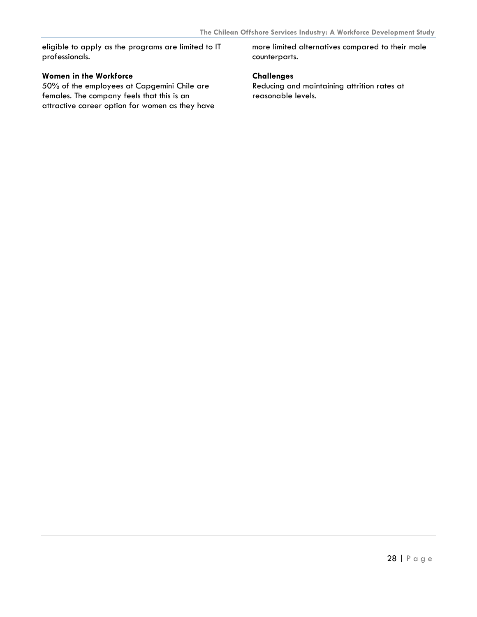eligible to apply as the programs are limited to IT professionals.

#### **Women in the Workforce**

50% of the employees at Capgemini Chile are females. The company feels that this is an attractive career option for women as they have more limited alternatives compared to their male counterparts.

#### **Challenges**

Reducing and maintaining attrition rates at reasonable levels.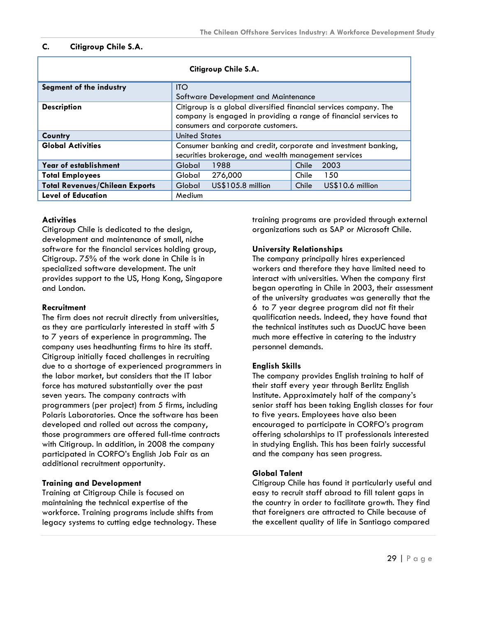#### <span id="page-29-0"></span>**C. Citigroup Chile S.A.**

| Citigroup Chile S.A.                  |                                                                   |              |  |  |
|---------------------------------------|-------------------------------------------------------------------|--------------|--|--|
| Segment of the industry               | <b>ITO</b>                                                        |              |  |  |
|                                       | Software Development and Maintenance                              |              |  |  |
| <b>Description</b>                    | Citigroup is a global diversified financial services company. The |              |  |  |
|                                       | company is engaged in providing a range of financial services to  |              |  |  |
|                                       | consumers and corporate customers.                                |              |  |  |
| Country                               | <b>United States</b>                                              |              |  |  |
| <b>Global Activities</b>              | Consumer banking and credit, corporate and investment banking,    |              |  |  |
|                                       | securities brokerage, and wealth management services              |              |  |  |
| Year of establishment                 | 1988<br>2003<br>Chile<br>Global                                   |              |  |  |
| <b>Total Employees</b>                | 276,000<br>Global                                                 | Chile<br>150 |  |  |
| <b>Total Revenues/Chilean Exports</b> | US\$105.8 million<br>US\$10.6 million<br>Global<br>Chile          |              |  |  |
| <b>Level of Education</b>             | Medium                                                            |              |  |  |

#### **Activities**

Citigroup Chile is dedicated to the design, development and maintenance of small, niche software for the financial services holding group, Citigroup. 75% of the work done in Chile is in specialized software development. The unit provides support to the US, Hong Kong, Singapore and London.

#### **Recruitment**

The firm does not recruit directly from universities, as they are particularly interested in staff with 5 to 7 years of experience in programming. The company uses headhunting firms to hire its staff. Citigroup initially faced challenges in recruiting due to a shortage of experienced programmers in the labor market, but considers that the IT labor force has matured substantially over the past seven years. The company contracts with programmers (per project) from 5 firms, including Polaris Laboratories. Once the software has been developed and rolled out across the company, those programmers are offered full-time contracts with Citigroup. In addition, in 2008 the company participated in CORFO's English Job Fair as an additional recruitment opportunity.

#### **Training and Development**

Training at Citigroup Chile is focused on maintaining the technical expertise of the workforce. Training programs include shifts from legacy systems to cutting edge technology. These training programs are provided through external organizations such as SAP or Microsoft Chile.

#### **University Relationships**

The company principally hires experienced workers and therefore they have limited need to interact with universities. When the company first began operating in Chile in 2003, their assessment of the university graduates was generally that the 6 to 7 year degree program did not fit their qualification needs. Indeed, they have found that the technical institutes such as DuocUC have been much more effective in catering to the industry personnel demands.

#### **English Skills**

The company provides English training to half of their staff every year through Berlitz English Institute. Approximately half of the company's senior staff has been taking English classes for four to five years. Employees have also been encouraged to participate in CORFO's program offering scholarships to IT professionals interested in studying English. This has been fairly successful and the company has seen progress.

#### **Global Talent**

Citigroup Chile has found it particularly useful and easy to recruit staff abroad to fill talent gaps in the country in order to facilitate growth. They find that foreigners are attracted to Chile because of the excellent quality of life in Santiago compared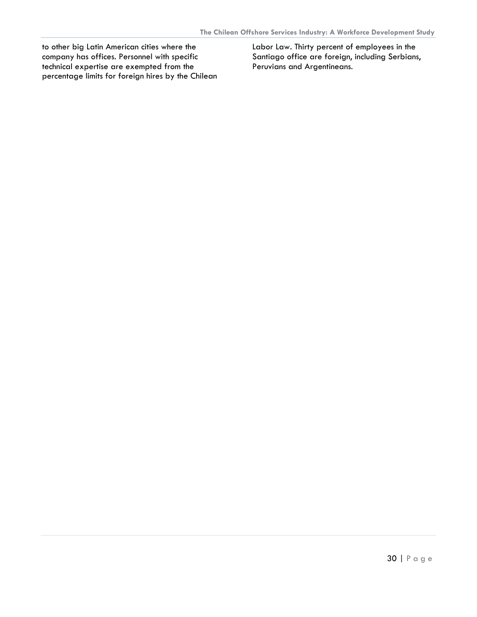to other big Latin American cities where the company has offices. Personnel with specific technical expertise are exempted from the percentage limits for foreign hires by the Chilean Labor Law. Thirty percent of employees in the Santiago office are foreign, including Serbians, Peruvians and Argentineans.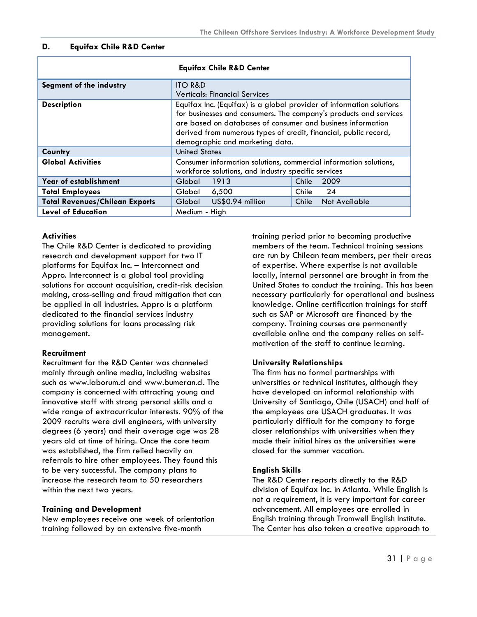#### <span id="page-31-0"></span>**D. Equifax Chile R&D Center**

|                                       | <b>Equifax Chile R&amp;D Center</b>                                                                                                                                                                                                                                                                             |  |  |
|---------------------------------------|-----------------------------------------------------------------------------------------------------------------------------------------------------------------------------------------------------------------------------------------------------------------------------------------------------------------|--|--|
| Segment of the industry               | <b>ITO R&amp;D</b>                                                                                                                                                                                                                                                                                              |  |  |
|                                       | <b>Verticals: Financial Services</b>                                                                                                                                                                                                                                                                            |  |  |
| <b>Description</b>                    | Equifax Inc. (Equifax) is a global provider of information solutions<br>for businesses and consumers. The company's products and services<br>are based on databases of consumer and business information<br>derived from numerous types of credit, financial, public record,<br>demographic and marketing data. |  |  |
| Country                               | <b>United States</b>                                                                                                                                                                                                                                                                                            |  |  |
| <b>Global Activities</b>              | Consumer information solutions, commercial information solutions,<br>workforce solutions, and industry specific services                                                                                                                                                                                        |  |  |
| Year of establishment                 | 1913<br>2009<br>Global<br>Chile                                                                                                                                                                                                                                                                                 |  |  |
| <b>Total Employees</b>                | 24<br>6,500<br>Chile<br>Global                                                                                                                                                                                                                                                                                  |  |  |
| <b>Total Revenues/Chilean Exports</b> | US\$0.94 million<br>Global<br>Chile<br>Not Available                                                                                                                                                                                                                                                            |  |  |
| <b>Level of Education</b>             | Medium - High                                                                                                                                                                                                                                                                                                   |  |  |

#### **Activities**

The Chile R&D Center is dedicated to providing research and development support for two IT platforms for Equifax Inc. – Interconnect and Appro. Interconnect is a global tool providing solutions for account acquisition, credit-risk decision making, cross-selling and fraud mitigation that can be applied in all industries. Appro is a platform dedicated to the financial services industry providing solutions for loans processing risk management.

#### **Recruitment**

Recruitment for the R&D Center was channeled mainly through online media, including websites such as [www.laborum.cl](http://www.laborum.cl/) and [www.bumeran.cl](http://www.bumeran.cl/). The company is concerned with attracting young and innovative staff with strong personal skills and a wide range of extracurricular interests. 90% of the 2009 recruits were civil engineers, with university degrees (6 years) and their average age was 28 years old at time of hiring. Once the core team was established, the firm relied heavily on referrals to hire other employees. They found this to be very successful. The company plans to increase the research team to 50 researchers within the next two years.

#### **Training and Development**

New employees receive one week of orientation training followed by an extensive five-month

training period prior to becoming productive members of the team. Technical training sessions are run by Chilean team members, per their areas of expertise. Where expertise is not available locally, internal personnel are brought in from the United States to conduct the training. This has been necessary particularly for operational and business knowledge. Online certification trainings for staff such as SAP or Microsoft are financed by the company. Training courses are permanently available online and the company relies on selfmotivation of the staff to continue learning.

#### **University Relationships**

The firm has no formal partnerships with universities or technical institutes, although they have developed an informal relationship with University of Santiago, Chile (USACH) and half of the employees are USACH graduates. It was particularly difficult for the company to forge closer relationships with universities when they made their initial hires as the universities were closed for the summer vacation.

#### **English Skills**

The R&D Center reports directly to the R&D division of Equifax Inc. in Atlanta. While English is not a requirement, it is very important for career advancement. All employees are enrolled in English training through Tromwell English Institute. The Center has also taken a creative approach to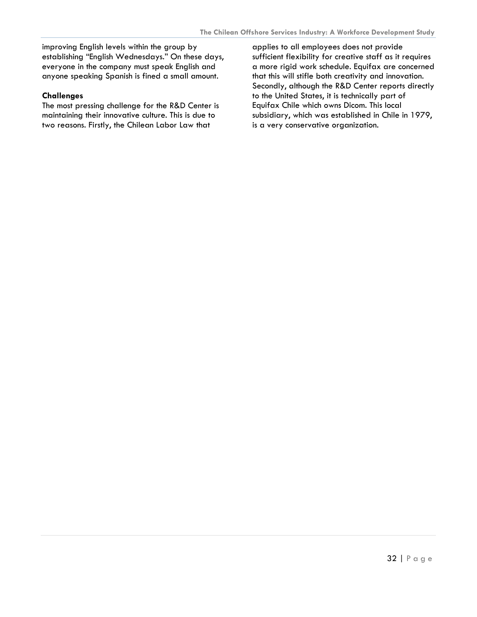improving English levels within the group by establishing "English Wednesdays." On these days, everyone in the company must speak English and anyone speaking Spanish is fined a small amount.

#### **Challenges**

The most pressing challenge for the R&D Center is maintaining their innovative culture. This is due to two reasons. Firstly, the Chilean Labor Law that

applies to all employees does not provide sufficient flexibility for creative staff as it requires a more rigid work schedule. Equifax are concerned that this will stifle both creativity and innovation. Secondly, although the R&D Center reports directly to the United States, it is technically part of Equifax Chile which owns Dicom. This local subsidiary, which was established in Chile in 1979, is a very conservative organization.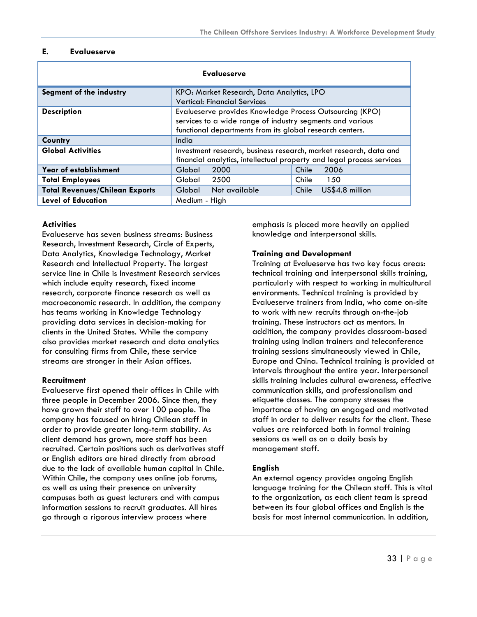#### <span id="page-33-0"></span>**E. Evalueserve**

| <b>Evalueserve</b>                    |                                                                                                                                                                                   |                          |
|---------------------------------------|-----------------------------------------------------------------------------------------------------------------------------------------------------------------------------------|--------------------------|
| Segment of the industry               | KPO: Market Research, Data Analytics, LPO<br><b>Vertical: Financial Services</b>                                                                                                  |                          |
| <b>Description</b>                    | Evalueserve provides Knowledge Process Outsourcing (KPO)<br>services to a wide range of industry segments and various<br>functional departments from its global research centers. |                          |
| Country                               | India                                                                                                                                                                             |                          |
| <b>Global Activities</b>              | Investment research, business research, market research, data and<br>financial analytics, intellectual property and legal process services                                        |                          |
| Year of establishment                 | 2000<br>Global                                                                                                                                                                    | 2006<br>Chile            |
| <b>Total Employees</b>                | Global<br>2500                                                                                                                                                                    | Chile<br>150             |
| <b>Total Revenues/Chilean Exports</b> | Global<br>Not available                                                                                                                                                           | US\$4.8 million<br>Chile |
| <b>Level of Education</b>             | Medium - High                                                                                                                                                                     |                          |

#### **Activities**

Evalueserve has seven business streams: Business Research, Investment Research, Circle of Experts, Data Analytics, Knowledge Technology, Market Research and Intellectual Property. The largest service line in Chile is Investment Research services which include equity research, fixed income research, corporate finance research as well as macroeconomic research. In addition, the company has teams working in Knowledge Technology providing data services in decision-making for clients in the United States. While the company also provides market research and data analytics for consulting firms from Chile, these service streams are stronger in their Asian offices.

#### **Recruitment**

Evalueserve first opened their offices in Chile with three people in December 2006. Since then, they have grown their staff to over 100 people. The company has focused on hiring Chilean staff in order to provide greater long-term stability. As client demand has grown, more staff has been recruited. Certain positions such as derivatives staff or English editors are hired directly from abroad due to the lack of available human capital in Chile. Within Chile, the company uses online job forums, as well as using their presence on university campuses both as guest lecturers and with campus information sessions to recruit graduates. All hires go through a rigorous interview process where

emphasis is placed more heavily on applied knowledge and interpersonal skills.

#### **Training and Development**

Training at Evalueserve has two key focus areas: technical training and interpersonal skills training, particularly with respect to working in multicultural environments. Technical training is provided by Evalueserve trainers from India, who come on-site to work with new recruits through on-the-job training. These instructors act as mentors. In addition, the company provides classroom-based training using Indian trainers and teleconference training sessions simultaneously viewed in Chile, Europe and China. Technical training is provided at intervals throughout the entire year. Interpersonal skills training includes cultural awareness, effective communication skills, and professionalism and etiquette classes. The company stresses the importance of having an engaged and motivated staff in order to deliver results for the client. These values are reinforced both in formal training sessions as well as on a daily basis by management staff.

#### **English**

An external agency provides ongoing English language training for the Chilean staff. This is vital to the organization, as each client team is spread between its four global offices and English is the basis for most internal communication. In addition,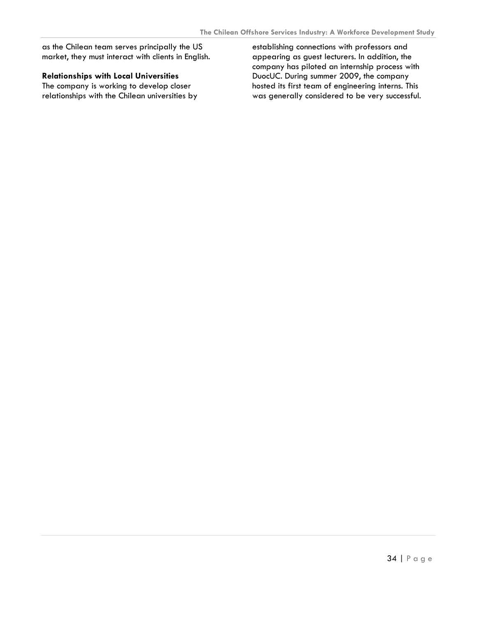as the Chilean team serves principally the US market, they must interact with clients in English.

#### **Relationships with Local Universities**

The company is working to develop closer relationships with the Chilean universities by

establishing connections with professors and appearing as guest lecturers. In addition, the company has piloted an internship process with DuocUC. During summer 2009, the company hosted its first team of engineering interns. This was generally considered to be very successful.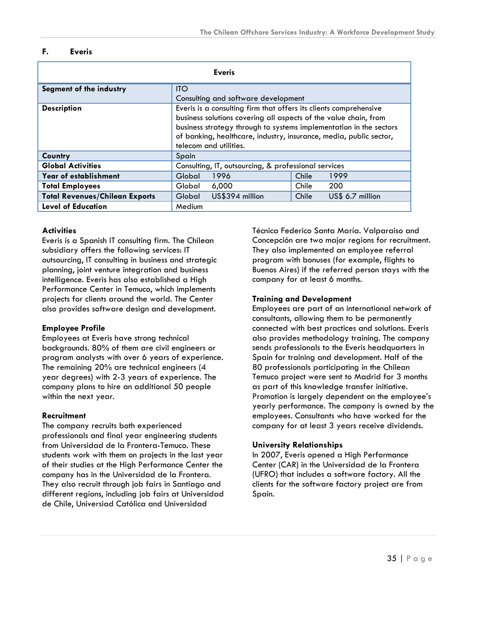#### <span id="page-35-0"></span>**F. Everis**

| <b>Everis</b>                         |            |                                                                                                                                                                                                                                                                                                             |       |                  |
|---------------------------------------|------------|-------------------------------------------------------------------------------------------------------------------------------------------------------------------------------------------------------------------------------------------------------------------------------------------------------------|-------|------------------|
| Segment of the industry               | <b>ITO</b> |                                                                                                                                                                                                                                                                                                             |       |                  |
|                                       |            | Consulting and software development                                                                                                                                                                                                                                                                         |       |                  |
| <b>Description</b>                    |            | Everis is a consulting firm that offers its clients comprehensive<br>business solutions covering all aspects of the value chain, from<br>business strategy through to systems implementation in the sectors<br>of banking, healthcare, industry, insurance, media, public sector,<br>telecom and utilities. |       |                  |
| Country                               | Spain      |                                                                                                                                                                                                                                                                                                             |       |                  |
| <b>Global Activities</b>              |            | Consulting, IT, outsourcing, & professional services                                                                                                                                                                                                                                                        |       |                  |
| Year of establishment                 | Global     | 1996                                                                                                                                                                                                                                                                                                        | Chile | 1999             |
| <b>Total Employees</b>                | Global     | 6,000                                                                                                                                                                                                                                                                                                       | Chile | 200              |
| <b>Total Revenues/Chilean Exports</b> | Global     | US\$394 million                                                                                                                                                                                                                                                                                             | Chile | US\$ 6.7 million |
| <b>Level of Education</b>             | Medium     |                                                                                                                                                                                                                                                                                                             |       |                  |

#### **Activities**

Everis is a Spanish IT consulting firm. The Chilean subsidiary offers the following services: IT outsourcing, IT consulting in business and strategic planning, joint venture integration and business intelligence. Everis has also established a High Performance Center in Temuco, which implements projects for clients around the world. The Center also provides software design and development.

#### **Employee Profile**

Employees at Everis have strong technical backgrounds. 80% of them are civil engineers or program analysts with over 6 years of experience. The remaining 20% are technical engineers (4 year degrees) with 2-3 years of experience. The company plans to hire an additional 50 people within the next year.

#### **Recruitment**

The company recruits both experienced professionals and final year engineering students from Universidad de la Frontera-Temuco. These students work with them on projects in the last year of their studies at the High Performance Center the company has in the Universidad de la Frontera. They also recruit through job fairs in Santiago and different regions, including job fairs at Universidad de Chile, Universiad Católica and Universidad

Técnica Federico Santa María. Valparaiso and Concepción are two major regions for recruitment. They also implemented an employee referral program with bonuses (for example, flights to Buenos Aires) if the referred person stays with the company for at least 6 months.

#### **Training and Development**

Employees are part of an international network of consultants, allowing them to be permanently connected with best practices and solutions. Everis also provides methodology training. The company sends professionals to the Everis headquarters in Spain for training and development. Half of the 80 professionals participating in the Chilean Temuco project were sent to Madrid for 3 months as part of this knowledge transfer initiative. Promotion is largely dependent on the employee's yearly performance. The company is owned by the employees. Consultants who have worked for the company for at least 3 years receive dividends.

#### **University Relationships**

In 2007, Everis opened a High Performance Center (CAR) in the Universidad de la Frontera (UFRO) that includes a software factory. All the clients for the software factory project are from Spain.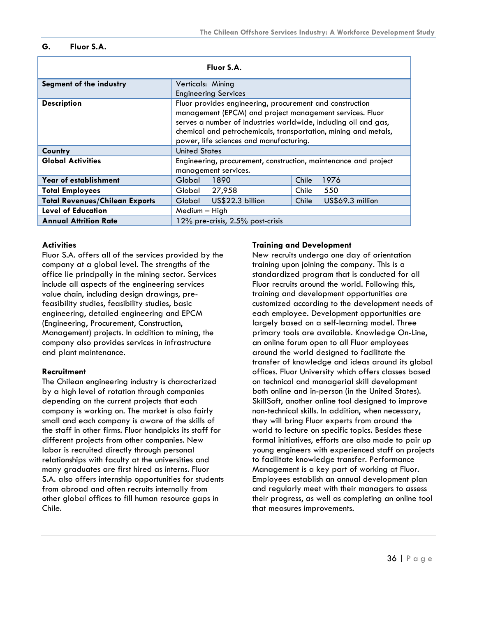#### <span id="page-36-0"></span>**G. Fluor S.A.**

| Fluor S.A.                            |                                                                                                                                                                                                                                                                                                                               |                           |
|---------------------------------------|-------------------------------------------------------------------------------------------------------------------------------------------------------------------------------------------------------------------------------------------------------------------------------------------------------------------------------|---------------------------|
| Segment of the industry               | Verticals: Mining<br><b>Engineering Services</b>                                                                                                                                                                                                                                                                              |                           |
| <b>Description</b>                    | Fluor provides engineering, procurement and construction<br>management (EPCM) and project management services. Fluor<br>serves a number of industries worldwide, including oil and gas,<br>chemical and petrochemicals, transportation, mining and metals,<br>power, life sciences and manufacturing.<br><b>United States</b> |                           |
| Country<br><b>Global Activities</b>   | Engineering, procurement, construction, maintenance and project                                                                                                                                                                                                                                                               |                           |
|                                       | management services.                                                                                                                                                                                                                                                                                                          |                           |
| Year of establishment                 | Global<br>1890                                                                                                                                                                                                                                                                                                                | 1976<br>Chile             |
| <b>Total Employees</b>                | Global<br>27,958                                                                                                                                                                                                                                                                                                              | 550<br>Chile              |
| <b>Total Revenues/Chilean Exports</b> | US\$22.3 billion<br>Global                                                                                                                                                                                                                                                                                                    | US\$69.3 million<br>Chile |
| <b>Level of Education</b>             | Medium - High                                                                                                                                                                                                                                                                                                                 |                           |
| <b>Annual Attrition Rate</b>          | $12\%$ pre-crisis, $2.5\%$ post-crisis                                                                                                                                                                                                                                                                                        |                           |

#### **Activities**

Fluor S.A. offers all of the services provided by the company at a global level. The strengths of the office lie principally in the mining sector. Services include all aspects of the engineering services value chain, including design drawings, prefeasibility studies, feasibility studies, basic engineering, detailed engineering and EPCM (Engineering, Procurement, Construction, Management) projects. In addition to mining, the company also provides services in infrastructure and plant maintenance.

#### **Recruitment**

The Chilean engineering industry is characterized by a high level of rotation through companies depending on the current projects that each company is working on. The market is also fairly small and each company is aware of the skills of the staff in other firms. Fluor handpicks its staff for different projects from other companies. New labor is recruited directly through personal relationships with faculty at the universities and many graduates are first hired as interns. Fluor S.A. also offers internship opportunities for students from abroad and often recruits internally from other global offices to fill human resource gaps in Chile.

#### **Training and Development**

New recruits undergo one day of orientation training upon joining the company. This is a standardized program that is conducted for all Fluor recruits around the world. Following this, training and development opportunities are customized according to the development needs of each employee. Development opportunities are largely based on a self-learning model. Three primary tools are available. Knowledge On-Line, an online forum open to all Fluor employees around the world designed to facilitate the transfer of knowledge and ideas around its global offices. Fluor University which offers classes based on technical and managerial skill development both online and in-person (in the United States). SkillSoft, another online tool designed to improve non-technical skills. In addition, when necessary, they will bring Fluor experts from around the world to lecture on specific topics. Besides these formal initiatives, efforts are also made to pair up young engineers with experienced staff on projects to facilitate knowledge transfer. Performance Management is a key part of working at Fluor. Employees establish an annual development plan and regularly meet with their managers to assess their progress, as well as completing an online tool that measures improvements.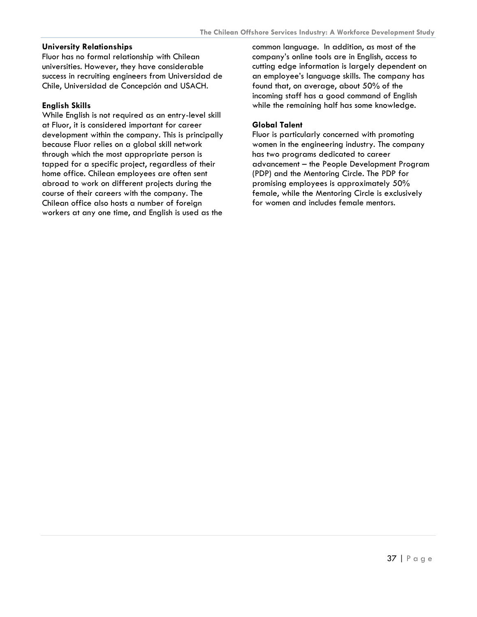#### **University Relationships**

Fluor has no formal relationship with Chilean universities. However, they have considerable success in recruiting engineers from Universidad de Chile, Universidad de Concepción and USACH.

#### **English Skills**

While English is not required as an entry-level skill at Fluor, it is considered important for career development within the company. This is principally because Fluor relies on a global skill network through which the most appropriate person is tapped for a specific project, regardless of their home office. Chilean employees are often sent abroad to work on different projects during the course of their careers with the company. The Chilean office also hosts a number of foreign workers at any one time, and English is used as the

common language. In addition, as most of the company's online tools are in English, access to cutting edge information is largely dependent on an employee's language skills. The company has found that, on average, about 50% of the incoming staff has a good command of English while the remaining half has some knowledge.

#### **Global Talent**

Fluor is particularly concerned with promoting women in the engineering industry. The company has two programs dedicated to career advancement – the People Development Program (PDP) and the Mentoring Circle. The PDP for promising employees is approximately 50% female, while the Mentoring Circle is exclusively for women and includes female mentors.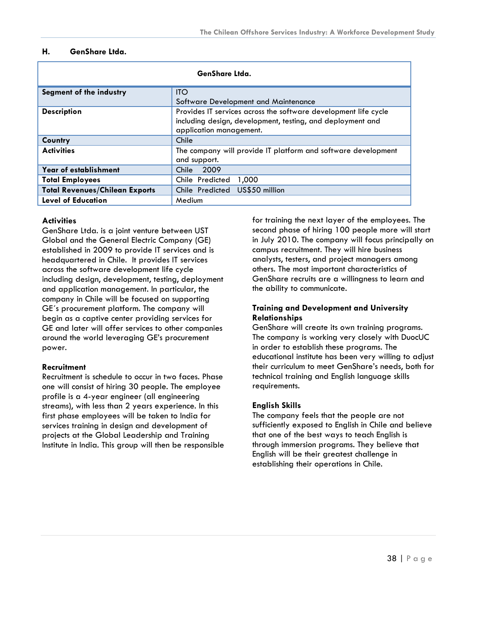#### <span id="page-38-0"></span>**H. GenShare Ltda.**

| GenShare Ltda.                        |                                                                                                                                                          |
|---------------------------------------|----------------------------------------------------------------------------------------------------------------------------------------------------------|
| Segment of the industry               | <b>ITO</b><br>Software Development and Maintenance                                                                                                       |
| <b>Description</b>                    | Provides IT services across the software development life cycle<br>including design, development, testing, and deployment and<br>application management. |
| Country                               | Chile                                                                                                                                                    |
| <b>Activities</b>                     | The company will provide IT platform and software development<br>and support.                                                                            |
| Year of establishment                 | 2009<br>Chile                                                                                                                                            |
| <b>Total Employees</b>                | 1,000<br>Chile Predicted                                                                                                                                 |
| <b>Total Revenues/Chilean Exports</b> | Chile Predicted US\$50 million                                                                                                                           |
| <b>Level of Education</b>             | Medium                                                                                                                                                   |

#### **Activities**

GenShare Ltda. is a joint venture between UST Global and the General Electric Company (GE) established in 2009 to provide IT services and is headquartered in Chile. It provides IT services across the software development life cycle including design, development, testing, deployment and application management. In particular, the company in Chile will be focused on supporting GE´s procurement platform. The company will begin as a captive center providing services for GE and later will offer services to other companies around the world leveraging GE's procurement power.

#### **Recruitment**

Recruitment is schedule to occur in two faces. Phase one will consist of hiring 30 people. The employee profile is a 4-year engineer (all engineering streams), with less than 2 years experience. In this first phase employees will be taken to India for services training in design and development of projects at the Global Leadership and Training Institute in India. This group will then be responsible

for training the next layer of the employees. The second phase of hiring 100 people more will start in July 2010. The company will focus principally on campus recruitment. They will hire business analysts, testers, and project managers among others. The most important characteristics of GenShare recruits are a willingness to learn and the ability to communicate.

#### **Training and Development and University Relationships**

GenShare will create its own training programs. The company is working very closely with DuocUC in order to establish these programs. The educational institute has been very willing to adjust their curriculum to meet GenShare's needs, both for technical training and English language skills requirements.

#### **English Skills**

The company feels that the people are not sufficiently exposed to English in Chile and believe that one of the best ways to teach English is through immersion programs. They believe that English will be their greatest challenge in establishing their operations in Chile.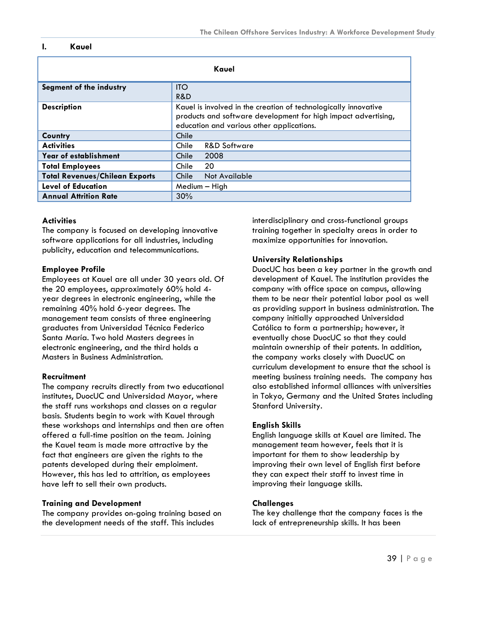#### <span id="page-39-0"></span>**I. Kauel**

| Kauel                                 |                                                                                                                                                                                |
|---------------------------------------|--------------------------------------------------------------------------------------------------------------------------------------------------------------------------------|
| Segment of the industry               | <b>ITO</b><br>R&D                                                                                                                                                              |
| <b>Description</b>                    | Kauel is involved in the creation of technologically innovative<br>products and software development for high impact advertising,<br>education and various other applications. |
| Country                               | Chile                                                                                                                                                                          |
| <b>Activities</b>                     | <b>R&amp;D Software</b><br>Chile                                                                                                                                               |
| Year of establishment                 | 2008<br>Chile                                                                                                                                                                  |
| <b>Total Employees</b>                | 20<br>Chile                                                                                                                                                                    |
| <b>Total Revenues/Chilean Exports</b> | Chile<br>Not Available                                                                                                                                                         |
| <b>Level of Education</b>             | Medium - High                                                                                                                                                                  |
| <b>Annual Attrition Rate</b>          | 30%                                                                                                                                                                            |

#### **Activities**

The company is focused on developing innovative software applications for all industries, including publicity, education and telecommunications.

#### **Employee Profile**

Employees at Kauel are all under 30 years old. Of the 20 employees, approximately 60% hold 4 year degrees in electronic engineering, while the remaining 40% hold 6-year degrees. The management team consists of three engineering graduates from Universidad Técnica Federico Santa María. Two hold Masters degrees in electronic engineering, and the third holds a Masters in Business Administration.

#### **Recruitment**

The company recruits directly from two educational institutes, DuocUC and Universidad Mayor, where the staff runs workshops and classes on a regular basis. Students begin to work with Kauel through these workshops and internships and then are often offered a full-time position on the team. Joining the Kauel team is made more attractive by the fact that engineers are given the rights to the patents developed during their emploiment. However, this has led to attrition, as employees have left to sell their own products.

#### **Training and Development**

The company provides on-going training based on the development needs of the staff. This includes

interdisciplinary and cross-functional groups training together in specialty areas in order to maximize opportunities for innovation.

#### **University Relationships**

DuocUC has been a key partner in the growth and development of Kauel. The institution provides the company with office space on campus, allowing them to be near their potential labor pool as well as providing support in business administration. The company initially approached Universidad Católica to form a partnership; however, it eventually chose DuocUC so that they could maintain ownership of their patents. In addition, the company works closely with DuocUC on curriculum development to ensure that the school is meeting business training needs. The company has also established informal alliances with universities in Tokyo, Germany and the United States including Stanford University.

#### **English Skills**

English language skills at Kauel are limited. The management team however, feels that it is important for them to show leadership by improving their own level of English first before they can expect their staff to invest time in improving their language skills.

#### **Challenges**

The key challenge that the company faces is the lack of entrepreneurship skills. It has been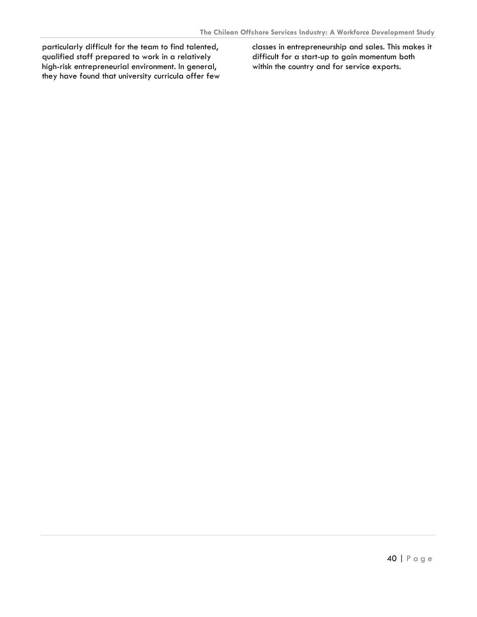particularly difficult for the team to find talented, qualified staff prepared to work in a relatively high-risk entrepreneurial environment. In general, they have found that university curricula offer few classes in entrepreneurship and sales. This makes it difficult for a start-up to gain momentum both within the country and for service exports.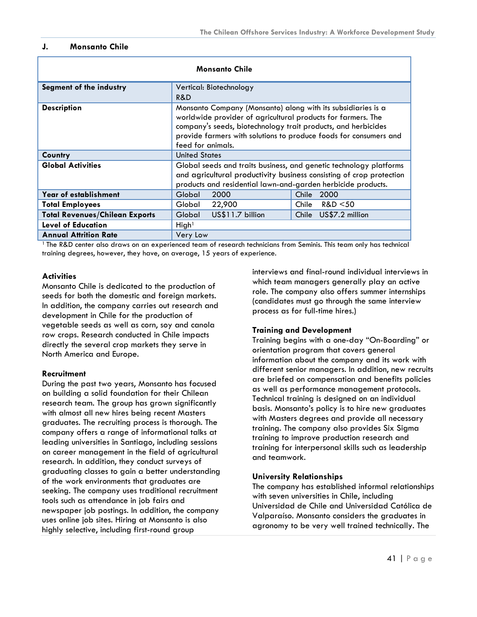#### <span id="page-41-0"></span>**J. Monsanto Chile**

| <b>Monsanto Chile</b>                 |                                                                                                                                                                                                                                                                                         |                       |
|---------------------------------------|-----------------------------------------------------------------------------------------------------------------------------------------------------------------------------------------------------------------------------------------------------------------------------------------|-----------------------|
| Segment of the industry               | Vertical: Biotechnology                                                                                                                                                                                                                                                                 |                       |
|                                       | R&D                                                                                                                                                                                                                                                                                     |                       |
| <b>Description</b>                    | Monsanto Company (Monsanto) along with its subsidiaries is a<br>worldwide provider of agricultural products for farmers. The<br>company's seeds, biotechnology trait products, and herbicides<br>provide farmers with solutions to produce foods for consumers and<br>feed for animals. |                       |
| Country                               | <b>United States</b>                                                                                                                                                                                                                                                                    |                       |
| <b>Global Activities</b>              | Global seeds and traits business, and genetic technology platforms<br>and agricultural productivity business consisting of crop protection<br>products and residential lawn-and-garden herbicide products.                                                                              |                       |
| Year of establishment                 | 2000<br>Global                                                                                                                                                                                                                                                                          | Chile 2000            |
| <b>Total Employees</b>                | 22,900<br>Global                                                                                                                                                                                                                                                                        | R&D < 50<br>Chile     |
| <b>Total Revenues/Chilean Exports</b> | US\$11.7 billion<br>Global                                                                                                                                                                                                                                                              | Chile US\$7.2 million |
| <b>Level of Education</b>             | High <sup>1</sup>                                                                                                                                                                                                                                                                       |                       |
| <b>Annual Attrition Rate</b>          | Very Low                                                                                                                                                                                                                                                                                |                       |

1 The R&D center also draws on an experienced team of research technicians from Seminis. This team only has technical training degrees, however, they have, on average, 15 years of experience.

#### **Activities**

Monsanto Chile is dedicated to the production of seeds for both the domestic and foreign markets. In addition, the company carries out research and development in Chile for the production of vegetable seeds as well as corn, soy and canola row crops. Research conducted in Chile impacts directly the several crop markets they serve in North America and Europe.

#### **Recruitment**

During the past two years, Monsanto has focused on building a solid foundation for their Chilean research team. The group has grown significantly with almost all new hires being recent Masters graduates. The recruiting process is thorough. The company offers a range of informational talks at leading universities in Santiago, including sessions on career management in the field of agricultural research. In addition, they conduct surveys of graduating classes to gain a better understanding of the work environments that graduates are seeking. The company uses traditional recruitment tools such as attendance in job fairs and newspaper job postings. In addition, the company uses online job sites. Hiring at Monsanto is also highly selective, including first-round group

interviews and final-round individual interviews in which team managers generally play an active role. The company also offers summer internships (candidates must go through the same interview process as for full-time hires.)

#### **Training and Development**

Training begins with a one-day "On-Boarding" or orientation program that covers general information about the company and its work with different senior managers. In addition, new recruits are briefed on compensation and benefits policies as well as performance management protocols. Technical training is designed on an individual basis. Monsanto's policy is to hire new graduates with Masters degrees and provide all necessary training. The company also provides Six Sigma training to improve production research and training for interpersonal skills such as leadership and teamwork.

#### **University Relationships**

The company has established informal relationships with seven universities in Chile, including Universidad de Chile and Universidad Católica de Valparaíso. Monsanto considers the graduates in agronomy to be very well trained technically. The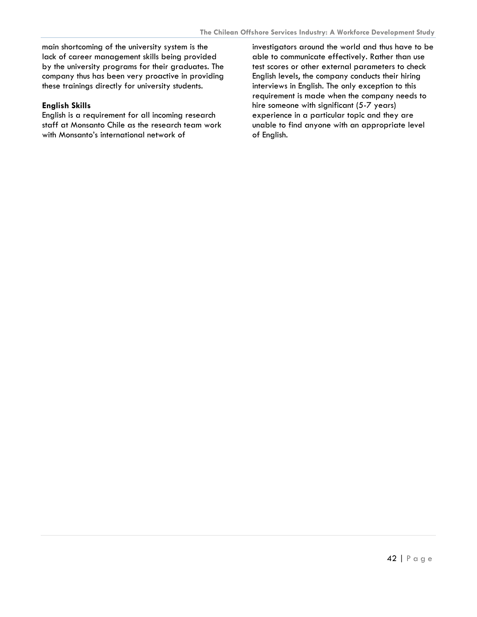main shortcoming of the university system is the lack of career management skills being provided by the university programs for their graduates. The company thus has been very proactive in providing these trainings directly for university students.

#### **English Skills**

English is a requirement for all incoming research staff at Monsanto Chile as the research team work with Monsanto's international network of

investigators around the world and thus have to be able to communicate effectively. Rather than use test scores or other external parameters to check English levels, the company conducts their hiring interviews in English. The only exception to this requirement is made when the company needs to hire someone with significant (5-7 years) experience in a particular topic and they are unable to find anyone with an appropriate level of English.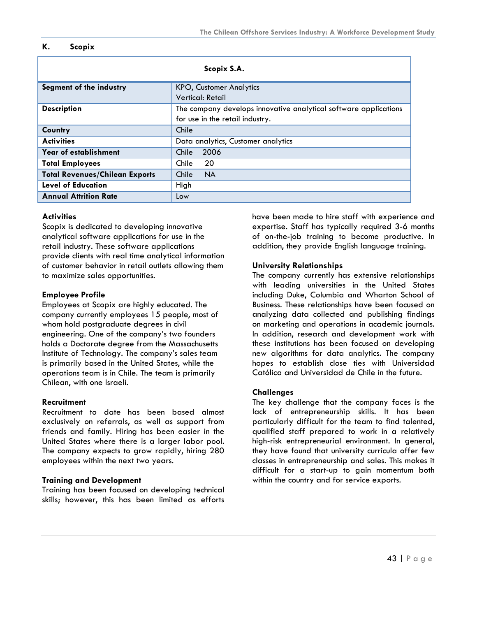#### <span id="page-43-0"></span>**K. Scopix**

| Scopix S.A.                           |                                                                  |
|---------------------------------------|------------------------------------------------------------------|
| Segment of the industry               | <b>KPO, Customer Analytics</b>                                   |
|                                       | Vertical: Retail                                                 |
| <b>Description</b>                    | The company develops innovative analytical software applications |
|                                       | for use in the retail industry.                                  |
| Country                               | Chile                                                            |
| <b>Activities</b>                     | Data analytics, Customer analytics                               |
| Year of establishment                 | 2006<br>Chile                                                    |
| <b>Total Employees</b>                | -20<br>Chile                                                     |
| <b>Total Revenues/Chilean Exports</b> | <b>NA</b><br>Chile                                               |
| <b>Level of Education</b>             | High                                                             |
| <b>Annual Attrition Rate</b>          | Low                                                              |

#### **Activities**

Scopix is dedicated to developing innovative analytical software applications for use in the retail industry. These software applications provide clients with real time analytical information of customer behavior in retail outlets allowing them to maximize sales opportunities.

#### **Employee Profile**

Employees at Scopix are highly educated. The company currently employees 15 people, most of whom hold postgraduate degrees in civil engineering. One of the company's two founders holds a Doctorate degree from the Massachusetts Institute of Technology. The company's sales team is primarily based in the United States, while the operations team is in Chile. The team is primarily Chilean, with one Israeli.

#### **Recruitment**

Recruitment to date has been based almost exclusively on referrals, as well as support from friends and family. Hiring has been easier in the United States where there is a larger labor pool. The company expects to grow rapidly, hiring 280 employees within the next two years.

## **Training and Development**

Training has been focused on developing technical skills; however, this has been limited as efforts

have been made to hire staff with experience and expertise. Staff has typically required 3-6 months of on-the-job training to become productive. In addition, they provide English language training.

#### **University Relationships**

The company currently has extensive relationships with leading universities in the United States including Duke, Columbia and Wharton School of Business. These relationships have been focused on analyzing data collected and publishing findings on marketing and operations in academic journals. In addition, research and development work with these institutions has been focused on developing new algorithms for data analytics. The company hopes to establish close ties with Universidad Católica and Universidad de Chile in the future.

## **Challenges**

The key challenge that the company faces is the lack of entrepreneurship skills. It has been particularly difficult for the team to find talented, qualified staff prepared to work in a relatively high-risk entrepreneurial environment. In general, they have found that university curricula offer few classes in entrepreneurship and sales. This makes it difficult for a start-up to gain momentum both within the country and for service exports.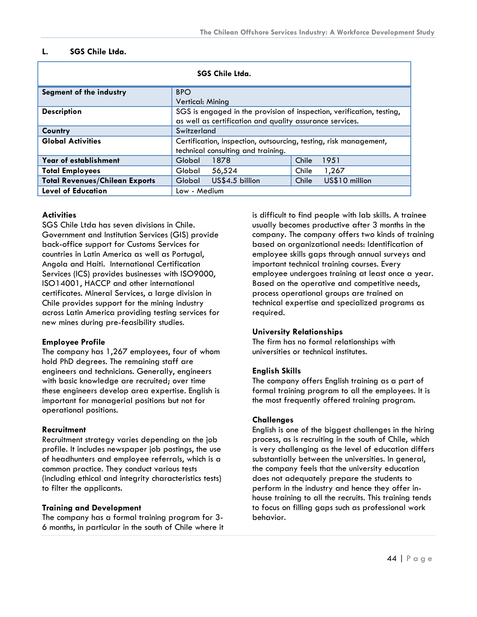#### <span id="page-44-0"></span>**L. SGS Chile Ltda.**

| <b>SGS Chile Ltda.</b>                |                                                                                                                                   |                         |
|---------------------------------------|-----------------------------------------------------------------------------------------------------------------------------------|-------------------------|
| Segment of the industry               | <b>BPO</b>                                                                                                                        |                         |
|                                       | Vertical: Mining                                                                                                                  |                         |
| <b>Description</b>                    | SGS is engaged in the provision of inspection, verification, testing,<br>as well as certification and quality assurance services. |                         |
| Country                               | Switzerland                                                                                                                       |                         |
| <b>Global Activities</b>              | Certification, inspection, outsourcing, testing, risk management,<br>technical consulting and training.                           |                         |
| Year of establishment                 | 1878<br>Global                                                                                                                    | Chile<br>1951           |
| <b>Total Employees</b>                | 56,524<br>Global                                                                                                                  | Chile<br>1,267          |
| <b>Total Revenues/Chilean Exports</b> | US\$4.5 billion<br>Global                                                                                                         | US\$10 million<br>Chile |
| <b>Level of Education</b>             | Low - Medium                                                                                                                      |                         |

#### **Activities**

SGS Chile Ltda has seven divisions in Chile. Government and Institution Services (GIS) provide back-office support for Customs Services for countries in Latin America as well as Portugal, Angola and Haiti. International Certification Services (ICS) provides businesses with ISO9000, ISO14001, HACCP and other international certificates. Mineral Services, a large division in Chile provides support for the mining industry across Latin America providing testing services for new mines during pre-feasibility studies.

#### **Employee Profile**

The company has 1,267 employees, four of whom hold PhD degrees. The remaining staff are engineers and technicians. Generally, engineers with basic knowledge are recruited; over time these engineers develop area expertise. English is important for managerial positions but not for operational positions.

#### **Recruitment**

Recruitment strategy varies depending on the job profile. It includes newspaper job postings, the use of headhunters and employee referrals, which is a common practice. They conduct various tests (including ethical and integrity characteristics tests) to filter the applicants.

#### **Training and Development**

The company has a formal training program for 3- 6 months, in particular in the south of Chile where it is difficult to find people with lab skills. A trainee usually becomes productive after 3 months in the company. The company offers two kinds of training based on organizational needs: Identification of employee skills gaps through annual surveys and important technical training courses. Every employee undergoes training at least once a year. Based on the operative and competitive needs, process operational groups are trained on technical expertise and specialized programs as required.

#### **University Relationships**

The firm has no formal relationships with universities or technical institutes.

#### **English Skills**

The company offers English training as a part of formal training program to all the employees. It is the most frequently offered training program.

#### **Challenges**

English is one of the biggest challenges in the hiring process, as is recruiting in the south of Chile, which is very challenging as the level of education differs substantially between the universities. In general, the company feels that the university education does not adequately prepare the students to perform in the industry and hence they offer inhouse training to all the recruits. This training tends to focus on filling gaps such as professional work behavior.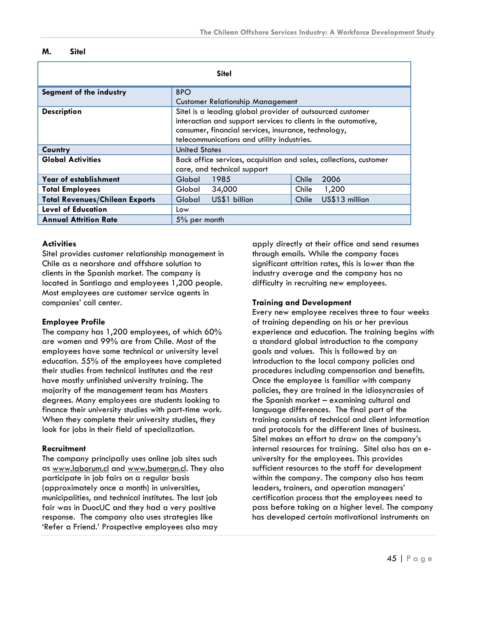#### <span id="page-45-0"></span>**M. Sitel**

| <b>Sitel</b>                          |                                                                    |                         |
|---------------------------------------|--------------------------------------------------------------------|-------------------------|
| Segment of the industry               | <b>BPO</b>                                                         |                         |
|                                       | <b>Customer Relationship Management</b>                            |                         |
| <b>Description</b>                    | Sitel is a leading global provider of outsourced customer          |                         |
|                                       | interaction and support services to clients in the automotive,     |                         |
|                                       | consumer, financial services, insurance, technology,               |                         |
|                                       | telecommunications and utility industries.                         |                         |
| Country                               | <b>United States</b>                                               |                         |
| <b>Global Activities</b>              | Back office services, acquisition and sales, collections, customer |                         |
|                                       | care, and technical support                                        |                         |
| Year of establishment                 | 1985<br>Global                                                     | 2006<br>Chile           |
| <b>Total Employees</b>                | 34,000<br>Global                                                   | Chile<br>1,200          |
| <b>Total Revenues/Chilean Exports</b> | US\$1 billion<br>Global                                            | US\$13 million<br>Chile |
| <b>Level of Education</b>             | Low                                                                |                         |
| <b>Annual Attrition Rate</b>          | 5% per month                                                       |                         |

#### **Activities**

Sitel provides customer relationship management in Chile as a nearshore and offshore solution to clients in the Spanish market. The company is located in Santiago and employees 1,200 people. Most employees are customer service agents in companies' call center.

#### **Employee Profile**

The company has 1,200 employees, of which 60% are women and 99% are from Chile. Most of the employees have some technical or university level education. 55% of the employees have completed their studies from technical institutes and the rest have mostly unfinished university training. The majority of the management team has Masters degrees. Many employees are students looking to finance their university studies with part-time work. When they complete their university studies, they look for jobs in their field of specialization.

#### **Recruitment**

The company principally uses online job sites such as [www.laborum.cl](http://www.laborum.cl/) and [www.bumeran.cl.](http://www.bumeran.cl/) They also participate in job fairs on a regular basis (approximately once a month) in universities, municipalities, and technical institutes. The last job fair was in DuocUC and they had a very positive response. The company also uses strategies like 'Refer a Friend.' Prospective employees also may

apply directly at their office and send resumes through emails. While the company faces significant attrition rates, this is lower than the industry average and the company has no difficulty in recruiting new employees.

#### **Training and Development**

Every new employee receives three to four weeks of training depending on his or her previous experience and education. The training begins with a standard global introduction to the company goals and values. This is followed by an introduction to the local company policies and procedures including compensation and benefits. Once the employee is familiar with company policies, they are trained in the idiosyncrasies of the Spanish market – examining cultural and language differences. The final part of the training consists of technical and client information and protocols for the different lines of business. Sitel makes an effort to draw on the company's internal resources for training. Sitel also has an euniversity for the employees. This provides sufficient resources to the staff for development within the company. The company also has team leaders, trainers, and operation managers' certification process that the employees need to pass before taking on a higher level. The company has developed certain motivational instruments on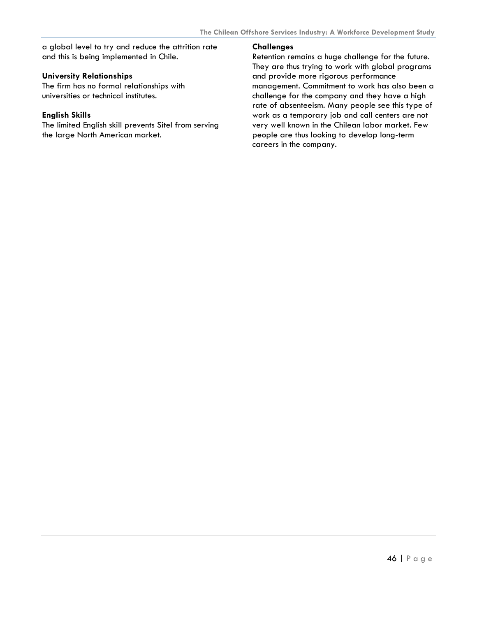a global level to try and reduce the attrition rate and this is being implemented in Chile.

#### **University Relationships**

The firm has no formal relationships with universities or technical institutes.

#### **English Skills**

The limited English skill prevents Sitel from serving the large North American market.

#### **Challenges**

Retention remains a huge challenge for the future. They are thus trying to work with global programs and provide more rigorous performance management. Commitment to work has also been a challenge for the company and they have a high rate of absenteeism. Many people see this type of work as a temporary job and call centers are not very well known in the Chilean labor market. Few people are thus looking to develop long-term careers in the company.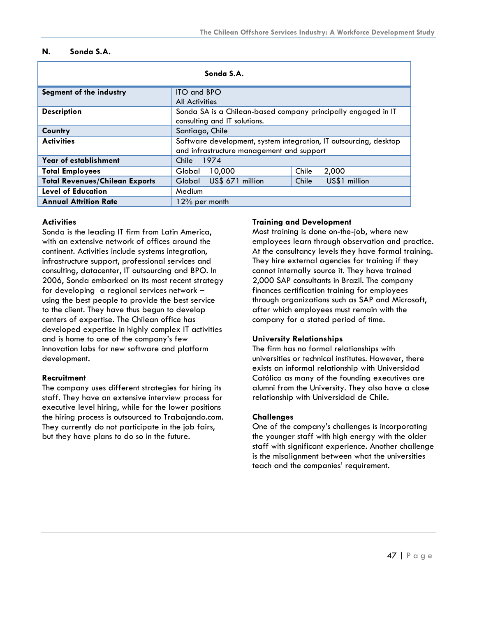#### <span id="page-47-0"></span>**N. Sonda S.A.**

| Sonda S.A.                            |                                                                                                                |                        |
|---------------------------------------|----------------------------------------------------------------------------------------------------------------|------------------------|
| Segment of the industry               | <b>ITO and BPO</b><br><b>All Activities</b>                                                                    |                        |
| <b>Description</b>                    | Sonda SA is a Chilean-based company principally engaged in IT<br>consulting and IT solutions.                  |                        |
| Country                               | Santiago, Chile                                                                                                |                        |
| <b>Activities</b>                     | Software development, system integration, IT outsourcing, desktop<br>and infrastructure management and support |                        |
| Year of establishment                 | Chile 1974                                                                                                     |                        |
| <b>Total Employees</b>                | 10,000<br>Global                                                                                               | Chile<br>2,000         |
| <b>Total Revenues/Chilean Exports</b> | US\$ 671 million<br>Global                                                                                     | US\$1 million<br>Chile |
| <b>Level of Education</b>             | Medium                                                                                                         |                        |
| <b>Annual Attrition Rate</b>          | 12% per month                                                                                                  |                        |

#### **Activities**

Sonda is the leading IT firm from Latin America, with an extensive network of offices around the continent. Activities include systems integration, infrastructure support, professional services and consulting, datacenter, IT outsourcing and BPO. In 2006, Sonda embarked on its most recent strategy for developing a regional services network – using the best people to provide the best service to the client. They have thus begun to develop centers of expertise. The Chilean office has developed expertise in highly complex IT activities and is home to one of the company's few innovation labs for new software and platform development.

#### **Recruitment**

The company uses different strategies for hiring its staff. They have an extensive interview process for executive level hiring, while for the lower positions the hiring process is outsourced to Trabajando.com. They currently do not participate in the job fairs, but they have plans to do so in the future.

#### **Training and Development**

Most training is done on-the-job, where new employees learn through observation and practice. At the consultancy levels they have formal training. They hire external agencies for training if they cannot internally source it. They have trained 2,000 SAP consultants in Brazil. The company finances certification training for employees through organizations such as SAP and Microsoft, after which employees must remain with the company for a stated period of time.

#### **University Relationships**

The firm has no formal relationships with universities or technical institutes. However, there exists an informal relationship with Universidad Católica as many of the founding executives are alumni from the University. They also have a close relationship with Universidad de Chile.

#### **Challenges**

One of the company's challenges is incorporating the younger staff with high energy with the older staff with significant experience. Another challenge is the misalignment between what the universities teach and the companies' requirement.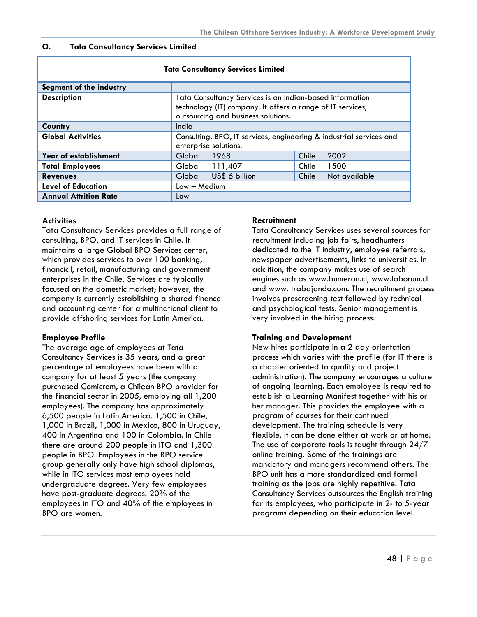#### <span id="page-48-0"></span>**O. Tata Consultancy Services Limited**

| Tata Consultancy Services Limited |                                                                                                                                                               |  |
|-----------------------------------|---------------------------------------------------------------------------------------------------------------------------------------------------------------|--|
| Segment of the industry           |                                                                                                                                                               |  |
| <b>Description</b>                | Tata Consultancy Services is an Indian-based information<br>technology (IT) company. It offers a range of IT services,<br>outsourcing and business solutions. |  |
| Country                           | India                                                                                                                                                         |  |
| <b>Global Activities</b>          | Consulting, BPO, IT services, engineering & industrial services and<br>enterprise solutions.                                                                  |  |
| Year of establishment             | 2002<br>1968<br>Chile<br>Global                                                                                                                               |  |
| <b>Total Employees</b>            | 111,407<br>1500<br>Global<br>Chile                                                                                                                            |  |
| <b>Revenues</b>                   | US\$ 6 billion<br><b>Global</b><br>Chile<br>Not available                                                                                                     |  |
| <b>Level of Education</b>         | $Low - Medium$                                                                                                                                                |  |
| <b>Annual Attrition Rate</b>      | Low                                                                                                                                                           |  |

#### **Tata Consultancy Services Limited**

#### **Activities**

Tata Consultancy Services provides a full range of consulting, BPO, and IT services in Chile. It maintains a large Global BPO Services center, which provides services to over 100 banking, financial, retail, manufacturing and government enterprises in the Chile. Services are typically focused on the domestic market; however, the company is currently establishing a shared finance and accounting center for a multinational client to provide offshoring services for Latin America.

#### **Employee Profile**

The average age of employees at Tata Consultancy Services is 35 years, and a great percentage of employees have been with a company for at least 5 years (the company purchased Comicrom, a Chilean BPO provider for the financial sector in 2005, employing all 1,200 employees). The company has approximately 6,500 people in Latin America. 1,500 in Chile, 1,000 in Brazil, 1,000 in Mexico, 800 in Uruguay, 400 in Argentina and 100 in Colombia. In Chile there are around 200 people in ITO and 1,300 people in BPO. Employees in the BPO service group generally only have high school diplomas, while in ITO services most employees hold undergraduate degrees. Very few employees have post-graduate degrees. 20% of the employees in ITO and 40% of the employees in BPO are women.

#### **Recruitment**

Tata Consultancy Services uses several sources for recruitment including job fairs, headhunters dedicated to the IT industry, employee referrals, newspaper advertisements, links to universities. In addition, the company makes use of search engines such as www.bumeran.cl, [www.laborum.cl](http://www.laborum.cl/) and www. trabajando.com. The recruitment process involves prescreening test followed by technical and psychological tests. Senior management is very involved in the hiring process.

#### **Training and Development**

New hires participate in a 2 day orientation process which varies with the profile (for IT there is a chapter oriented to quality and project administration). The company encourages a culture of ongoing learning. Each employee is required to establish a Learning Manifest together with his or her manager. This provides the employee with a program of courses for their continued development. The training schedule is very flexible. It can be done either at work or at home. The use of corporate tools is taught through 24/7 online training. Some of the trainings are mandatory and managers recommend others. The BPO unit has a more standardized and formal training as the jobs are highly repetitive. Tata Consultancy Services outsources the English training for its employees, who participate in 2- to 5-year programs depending on their education level.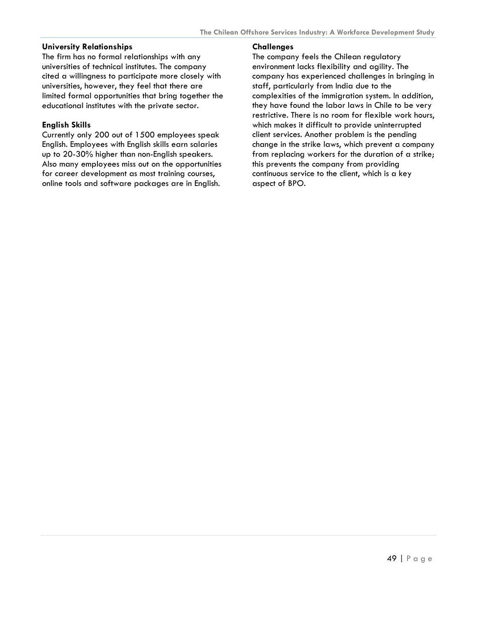#### **University Relationships**

The firm has no formal relationships with any universities of technical institutes. The company cited a willingness to participate more closely with universities, however, they feel that there are limited formal opportunities that bring together the educational institutes with the private sector.

#### **English Skills**

Currently only 200 out of 1500 employees speak English. Employees with English skills earn salaries up to 20-30% higher than non-English speakers. Also many employees miss out on the opportunities for career development as most training courses, online tools and software packages are in English.

#### **Challenges**

The company feels the Chilean regulatory environment lacks flexibility and agility. The company has experienced challenges in bringing in staff, particularly from India due to the complexities of the immigration system. In addition, they have found the labor laws in Chile to be very restrictive. There is no room for flexible work hours, which makes it difficult to provide uninterrupted client services. Another problem is the pending change in the strike laws, which prevent a company from replacing workers for the duration of a strike; this prevents the company from providing continuous service to the client, which is a key aspect of BPO.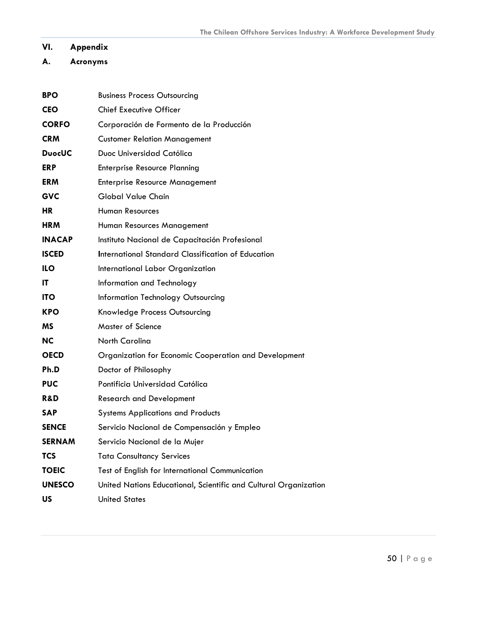# <span id="page-50-0"></span>**VI. Appendix**

# **A. Acronyms**

| <b>BPO</b>     | <b>Business Process Outsourcing</b>                              |
|----------------|------------------------------------------------------------------|
| <b>CEO</b>     | <b>Chief Executive Officer</b>                                   |
| <b>CORFO</b>   | Corporación de Formento de la Producción                         |
| <b>CRM</b>     | <b>Customer Relation Management</b>                              |
| <b>DuocUC</b>  | Duoc Universidad Católica                                        |
| <b>ERP</b>     | <b>Enterprise Resource Planning</b>                              |
| <b>ERM</b>     | <b>Enterprise Resource Management</b>                            |
| <b>GVC</b>     | <b>Global Value Chain</b>                                        |
| <b>HR</b>      | <b>Human Resources</b>                                           |
| <b>HRM</b>     | Human Resources Management                                       |
| <b>INACAP</b>  | Instituto Nacional de Capacitación Profesional                   |
| <b>ISCED</b>   | <b>International Standard Classification of Education</b>        |
| <b>ILO</b>     | International Labor Organization                                 |
| IT             | Information and Technology                                       |
| <b>ITO</b>     | <b>Information Technology Outsourcing</b>                        |
| <b>KPO</b>     | Knowledge Process Outsourcing                                    |
| ΜS             | <b>Master of Science</b>                                         |
| <b>NC</b>      | <b>North Carolina</b>                                            |
| <b>OECD</b>    | Organization for Economic Cooperation and Development            |
| Ph.D           | Doctor of Philosophy                                             |
| <b>PUC</b>     | Pontificia Universidad Católica                                  |
| <b>R&amp;D</b> | <b>Research and Development</b>                                  |
| <b>SAP</b>     | <b>Systems Applications and Products</b>                         |
| <b>SENCE</b>   | Servicio Nacional de Compensación y Empleo                       |
| <b>SERNAM</b>  | Servicio Nacional de la Mujer                                    |
| <b>TCS</b>     | <b>Tata Consultancy Services</b>                                 |
| <b>TOEIC</b>   | Test of English for International Communication                  |
| <b>UNESCO</b>  | United Nations Educational, Scientific and Cultural Organization |
| <b>US</b>      | <b>United States</b>                                             |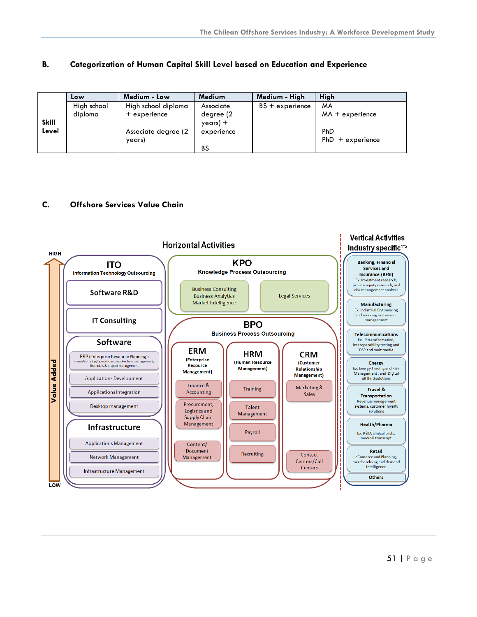#### <span id="page-51-0"></span>**B. Categorization of Human Capital Skill Level based on Education and Experience**

|              | Low         | Medium - Low                   | Medium                  | Medium - High     | <b>High</b>               |
|--------------|-------------|--------------------------------|-------------------------|-------------------|---------------------------|
|              | High school | High school diploma            | Associate               | $BS + experience$ | <b>MA</b>                 |
| <b>Skill</b> | diploma     | $+$ experience                 | degree (2)<br>$year) +$ |                   | $MA + experience$         |
| Level        |             | Associate degree (2)<br>years) | experience              |                   | PhD<br>$PhD + experience$ |
|              |             |                                | <b>BS</b>               |                   |                           |

#### **C. Offshore Services Value Chain**

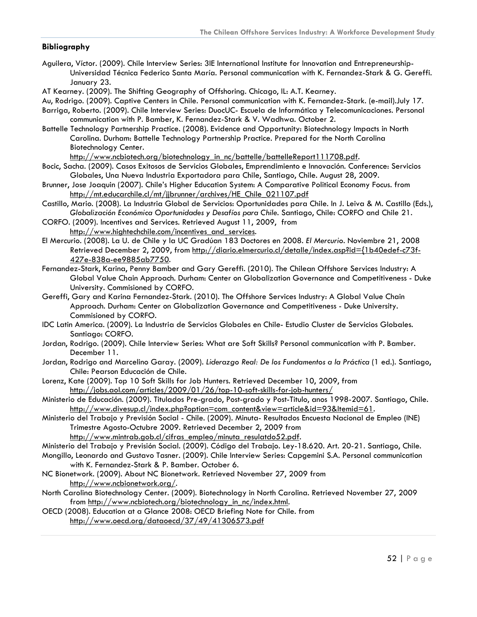#### **Bibliography**

- Aguilera, Víctor. (2009). Chile Interview Series: 3IE International Institute for Innovation and Entrepreneurship-Universidad Técnica Federico Santa María. Personal communication with K. Fernandez-Stark & G. Gereffi. January 23.
- AT Kearney. (2009). The Shifting Geography of Offshoring. Chicago, IL: A.T. Kearney.
- Au, Rodrigo. (2009). Captive Centers in Chile. Personal communication with K. Fernandez-Stark. (e-mail).July 17.
- Barriga, Roberto. (2009). Chile Interview Series: DuocUC- Escuela de Informática y Telecomunicaciones. Personal communication with P. Bamber, K. Fernandez-Stark & V. Wadhwa. October 2.
- Battelle Technology Partnership Practice. (2008). Evidence and Opportunity: Biotechnology Impacts in North Carolina. Durham: Battelle Technology Partnership Practice. Prepared for the North Carolina Biotechnology Center.

[http://www.ncbiotech.org/biotechnology\\_in\\_nc/battelle/battelleReport111708.pdf.](http://www.ncbiotech.org/biotechnology_in_nc/battelle/battelleReport111708.pdf)

- Bocic, Sacha. (2009). Casos Exitosos de Servicios Globales, Emprendimiento e Innovación. Conference: Servicios Globales, Una Nueva Industria Exportadora para Chile, Santiago, Chile. August 28, 2009.
- Brunner, Jose Joaquin (2007). Chile's Higher Education System: A Comparative Political Economy Focus. from [http://mt.educarchile.cl/mt/jjbrunner/archives/HE\\_Chile\\_021107.pdf](http://mt.educarchile.cl/mt/jjbrunner/archives/HE_Chile_021107.pdf)
- Castillo, Mario. (2008). La Industria Global de Servicios: Oportunidades para Chile. In J. Leiva & M. Castillo (Eds.), *Globalización Económica Oportunidades y Desafíos para Chile*. Santiago, Chile: CORFO and Chile 21.
- CORFO. (2009). Incentives and Services. Retrieved August 11, 2009, from http://www.hightechchile.com/incentives and services.
- El Mercurio. (2008). La U. de Chile y la UC Gradúan 183 Doctores en 2008*. El Mercurio*. Noviembre 21, 2008 Retrieved December 2, 2009, from [http://diario.elmercurio.cl/detalle/index.asp?id={1b40edef-c73f-](http://diario.elmercurio.cl/detalle/index.asp?id=%7B1b40edef-c73f-427e-838a-ee9885ab7750)[427e-838a-ee9885ab7750.](http://diario.elmercurio.cl/detalle/index.asp?id=%7B1b40edef-c73f-427e-838a-ee9885ab7750)
- Fernandez-Stark, Karina, Penny Bamber and Gary Gereffi. (2010). The Chilean Offshore Services Industry: A Global Value Chain Approach. Durham: Center on Globalization Governance and Competitiveness - Duke University. Commisioned by CORFO.
- Gereffi, Gary and Karina Fernandez-Stark. (2010). The Offshore Services Industry: A Global Value Chain Approach. Durham: Center on Globalization Governance and Competitiveness - Duke University. Commisioned by CORFO.
- IDC Latin America. (2009). La Industria de Servicios Globales en Chile- Estudio Cluster de Servicios Globales. Santiago: CORFO.
- Jordan, Rodrigo. (2009). Chile Interview Series: What are Soft Skills? Personal communication with P. Bamber. December 11.
- Jordan, Rodrigo and Marcelino Garay. (2009). *Liderazgo Real: De los Fundamentos a la Práctica* (1 ed.). Santiago, Chile: Pearson Educación de Chile.
- Lorenz, Kate (2009). Top 10 Soft Skills for Job Hunters. Retrieved December 10, 2009, from <http://jobs.aol.com/articles/2009/01/26/top-10-soft-skills-for-job-hunters/>
- Ministerio de Educación. (2009). Titulados Pre-grado, Post-grado y Post-Titulo, anos 1998-2007. Santiago, Chile. [http://www.divesup.cl/index.php?option=com\\_content&view=article&id=93&Itemid=61](http://www.divesup.cl/index.php?option=com_content&view=article&id=93&Itemid=61).
- Ministerio del Trabajo y Previsión Social Chile. (2009). Minuta- Resultados Encuesta Nacional de Empleo (INE) Trimestre Agosto-Octubre 2009. Retrieved December 2, 2009 from
	- [http://www.mintrab.gob.cl/cifras\\_empleo/minuta\\_resulatdo52.pdf.](http://www.mintrab.gob.cl/cifras_empleo/minuta_resulatdo52.pdf)
- Ministerio del Trabajo y Previsión Social. (2009). Código del Trabajo. Ley-18.620. Art. 20-21. Santiago, Chile.
- Mongillo, Leonardo and Gustavo Tasner. (2009). Chile Interview Series: Capgemini S.A. Personal communication with K. Fernandez-Stark & P. Bamber. October 6.
- NC Bionetwork. (2009). About NC Bionetwork. Retrieved November 27, 2009 from <http://www.ncbionetwork.org/>.
- North Carolina Biotechnology Center. (2009). Biotechnology in North Carolina. Retrieved November 27, 2009 from [http://www.ncbiotech.org/biotechnology\\_in\\_nc/index.html.](http://www.ncbiotech.org/biotechnology_in_nc/index.html)
- OECD (2008). Education at a Glance 2008: OECD Briefing Note for Chile. from <http://www.oecd.org/dataoecd/37/49/41306573.pdf>